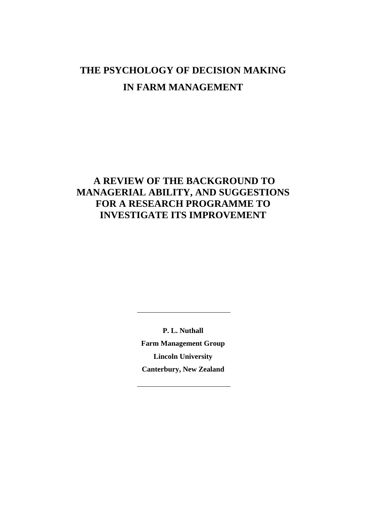# **THE PSYCHOLOGY OF DECISION MAKING IN FARM MANAGEMENT**

## **A REVIEW OF THE BACKGROUND TO MANAGERIAL ABILITY, AND SUGGESTIONS FOR A RESEARCH PROGRAMME TO INVESTIGATE ITS IMPROVEMENT**

**P. L. Nuthall Farm Management Group Lincoln University Canterbury, New Zealand**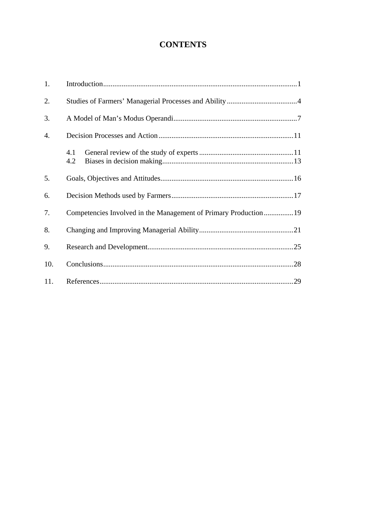## **CONTENTS**

| 1.  |                                                                 |  |  |
|-----|-----------------------------------------------------------------|--|--|
| 2.  |                                                                 |  |  |
| 3.  |                                                                 |  |  |
| 4.  |                                                                 |  |  |
|     | 4.1<br>4.2                                                      |  |  |
| 5.  |                                                                 |  |  |
| 6.  |                                                                 |  |  |
| 7.  | Competencies Involved in the Management of Primary Production19 |  |  |
| 8.  |                                                                 |  |  |
| 9.  |                                                                 |  |  |
| 10. |                                                                 |  |  |
| 11. | .29                                                             |  |  |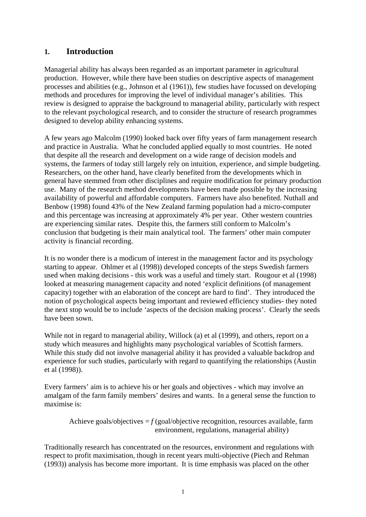#### **1. Introduction**

Managerial ability has always been regarded as an important parameter in agricultural production. However, while there have been studies on descriptive aspects of management processes and abilities (e.g., Johnson et al (1961)), few studies have focussed on developing methods and procedures for improving the level of individual manager's abilities. This review is designed to appraise the background to managerial ability, particularly with respect to the relevant psychological research, and to consider the structure of research programmes designed to develop ability enhancing systems.

A few years ago Malcolm (1990) looked back over fifty years of farm management research and practice in Australia. What he concluded applied equally to most countries. He noted that despite all the research and development on a wide range of decision models and systems, the farmers of today still largely rely on intuition, experience, and simple budgeting. Researchers, on the other hand, have clearly benefited from the developments which in general have stemmed from other disciplines and require modification for primary production use. Many of the research method developments have been made possible by the increasing availability of powerful and affordable computers. Farmers have also benefited. Nuthall and Benbow (1998) found 43% of the New Zealand farming population had a micro-computer and this percentage was increasing at approximately 4% per year. Other western countries are experiencing similar rates. Despite this, the farmers still conform to Malcolm's conclusion that budgeting is their main analytical tool. The farmers' other main computer activity is financial recording.

It is no wonder there is a modicum of interest in the management factor and its psychology starting to appear. Ohlmer et al (1998)) developed concepts of the steps Swedish farmers used when making decisions - this work was a useful and timely start. Rougour et al (1998) looked at measuring management capacity and noted 'explicit definitions (of management capacity) together with an elaboration of the concept are hard to find'. They introduced the notion of psychological aspects being important and reviewed efficiency studies- they noted the next stop would be to include 'aspects of the decision making process'. Clearly the seeds have been sown.

While not in regard to managerial ability, Willock (a) et al (1999), and others, report on a study which measures and highlights many psychological variables of Scottish farmers. While this study did not involve managerial ability it has provided a valuable backdrop and experience for such studies, particularly with regard to quantifying the relationships (Austin et al (1998)).

Every farmers' aim is to achieve his or her goals and objectives - which may involve an amalgam of the farm family members' desires and wants. In a general sense the function to maximise is:

```
Achieve goals/objectives =f (goal/objective recognition, resources available, farm
                 environment, regulations, managerial ability)
```
Traditionally research has concentrated on the resources, environment and regulations with respect to profit maximisation, though in recent years multi-objective (Piech and Rehman (1993)) analysis has become more important. It is time emphasis was placed on the other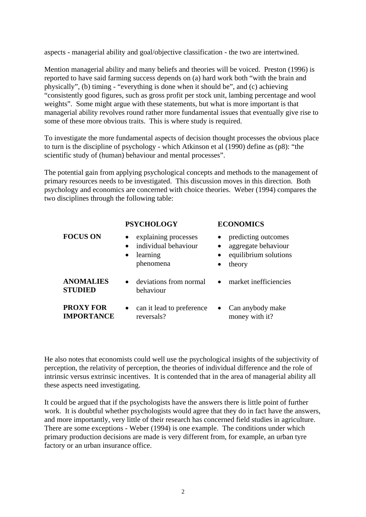aspects - managerial ability and goal/objective classification - the two are intertwined.

Mention managerial ability and many beliefs and theories will be voiced. Preston (1996) is reported to have said farming success depends on (a) hard work both "with the brain and physically", (b) timing - "everything is done when it should be", and (c) achieving "consistently good figures, such as gross profit per stock unit, lambing percentage and wool weights". Some might argue with these statements, but what is more important is that managerial ability revolves round rather more fundamental issues that eventually give rise to some of these more obvious traits. This is where study is required.

To investigate the more fundamental aspects of decision thought processes the obvious place to turn is the discipline of psychology - which Atkinson et al (1990) define as (p8): "the scientific study of (human) behaviour and mental processes".

The potential gain from applying psychological concepts and methods to the management of primary resources needs to be investigated. This discussion moves in this direction. Both psychology and economics are concerned with choice theories. Weber (1994) compares the two disciplines through the following table:

|                                       | <b>PSYCHOLOGY</b>                                                                                            | <b>ECONOMICS</b>                                                              |  |
|---------------------------------------|--------------------------------------------------------------------------------------------------------------|-------------------------------------------------------------------------------|--|
| <b>FOCUS ON</b>                       | explaining processes<br>$\bullet$<br>individual behaviour<br>$\bullet$<br>learning<br>$\bullet$<br>phenomena | predicting outcomes<br>aggregate behaviour<br>equilibrium solutions<br>theory |  |
| <b>ANOMALIES</b><br><b>STUDIED</b>    | deviations from normal<br>$\bullet$<br>behaviour                                                             | • market inefficiencies                                                       |  |
| <b>PROXY FOR</b><br><b>IMPORTANCE</b> | can it lead to preference<br>$\bullet$<br>reversals?                                                         | Can anybody make<br>$\bullet$<br>money with it?                               |  |

He also notes that economists could well use the psychological insights of the subjectivity of perception, the relativity of perception, the theories of individual difference and the role of intrinsic versus extrinsic incentives. It is contended that in the area of managerial ability all these aspects need investigating.

It could be argued that if the psychologists have the answers there is little point of further work. It is doubtful whether psychologists would agree that they do in fact have the answers, and more importantly, very little of their research has concerned field studies in agriculture. There are some exceptions - Weber (1994) is one example. The conditions under which primary production decisions are made is very different from, for example, an urban tyre factory or an urban insurance office.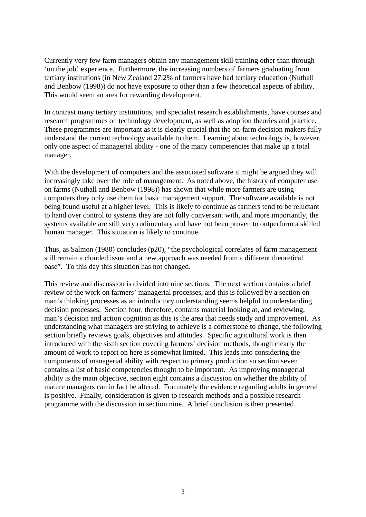Currently very few farm managers obtain any management skill training other than through 'on the job' experience. Furthermore, the increasing numbers of farmers graduating from tertiary institutions (in New Zealand 27.2% of farmers have had tertiary education (Nuthall and Benbow (1998)) do not have exposure to other than a few theoretical aspects of ability. This would seem an area for rewarding development.

In contrast many tertiary institutions, and specialist research establishments, have courses and research programmes on technology development, as well as adoption theories and practice. These programmes are important as it is clearly crucial that the on-farm decision makers fully understand the current technology available to them. Learning about technology is, however, only one aspect of managerial ability - one of the many competencies that make up a total manager.

With the development of computers and the associated software it might be argued they will increasingly take over the role of management. As noted above, the history of computer use on farms (Nuthall and Benbow (1998)) has shown that while more farmers are using computers they only use them for basic management support. The software available is not being found useful at a higher level. This is likely to continue as farmers tend to be reluctant to hand over control to systems they are not fully conversant with, and more importantly, the systems available are still very rudimentary and have not been proven to outperform a skilled human manager. This situation is likely to continue.

Thus, as Salmon (1980) concludes (p20), "the psychological correlates of farm management still remain a clouded issue and a new approach was needed from a different theoretical base". To this day this situation has not changed.

This review and discussion is divided into nine sections. The next section contains a brief review of the work on farmers' managerial processes, and this is followed by a section on man's thinking processes as an introductory understanding seems helpful to understanding decision processes. Section four, therefore, contains material looking at, and reviewing, man's decision and action cognition as this is the area that needs study and improvement. As understanding what managers are striving to achieve is a cornerstone to change, the following section briefly reviews goals, objectives and attitudes. Specific agricultural work is then introduced with the sixth section covering farmers' decision methods, though clearly the amount of work to report on here is somewhat limited. This leads into considering the components of managerial ability with respect to primary production so section seven contains a list of basic competencies thought to be important. As improving managerial ability is the main objective, section eight contains a discussion on whether the ability of mature managers can in fact be altered. Fortunately the evidence regarding adults in general is positive. Finally, consideration is given to research methods and a possible research programme with the discussion in section nine. A brief conclusion is then presented.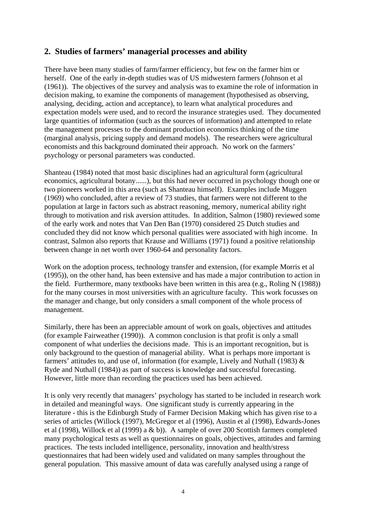#### **2. Studies of farmers' managerial processes and ability**

There have been many studies of farm/farmer efficiency, but few on the farmer him or herself. One of the early in-depth studies was of US midwestern farmers (Johnson et al (1961)). The objectives of the survey and analysis was to examine the role of information in decision making, to examine the components of management (hypothesised as observing, analysing, deciding, action and acceptance), to learn what analytical procedures and expectation models were used, and to record the insurance strategies used. They documented large quantities of information (such as the sources of information) and attempted to relate the management processes to the dominant production economics thinking of the time (marginal analysis, pricing supply and demand models). The researchers were agricultural economists and this background dominated their approach. No work on the farmers' psychology or personal parameters was conducted.

Shanteau (1984) noted that most basic disciplines had an agricultural form (agricultural economics, agricultural botany......), but this had never occurred in psychology though one or two pioneers worked in this area (such as Shanteau himself). Examples include Muggen (1969) who concluded, after a review of 73 studies, that farmers were not different to the population at large in factors such as abstract reasoning, memory, numerical ability right through to motivation and risk aversion attitudes. In addition, Salmon (1980) reviewed some of the early work and notes that Van Den Ban (1970) considered 25 Dutch studies and concluded they did not know which personal qualities were associated with high income. In contrast, Salmon also reports that Krause and Williams (1971) found a positive relationship between change in net worth over 1960-64 and personality factors.

Work on the adoption process, technology transfer and extension, (for example Morris et al (1995)), on the other hand, has been extensive and has made a major contribution to action in the field. Furthermore, many textbooks have been written in this area (e.g., Roling N (1988)) for the many courses in most universities with an agriculture faculty. This work focusses on the manager and change, but only considers a small component of the whole process of management.

Similarly, there has been an appreciable amount of work on goals, objectives and attitudes (for example Fairweather (1990)). A common conclusion is that profit is only a small component of what underlies the decisions made. This is an important recognition, but is only background to the question of managerial ability. What is perhaps more important is farmers' attitudes to, and use of, information (for example, Lively and Nuthall (1983) & Ryde and Nuthall (1984)) as part of success is knowledge and successful forecasting. However, little more than recording the practices used has been achieved.

It is only very recently that managers' psychology has started to be included in research work in detailed and meaningful ways. One significant study is currently appearing in the literature - this is the Edinburgh Study of Farmer Decision Making which has given rise to a series of articles (Willock (1997), McGregor et al (1996), Austin et al (1998), Edwards-Jones et al (1998), Willock et al (1999) a & b)). A sample of over 200 Scottish farmers completed many psychological tests as well as questionnaires on goals, objectives, attitudes and farming practices. The tests included intelligence, personality, innovation and health/stress questionnaires that had been widely used and validated on many samples throughout the general population. This massive amount of data was carefully analysed using a range of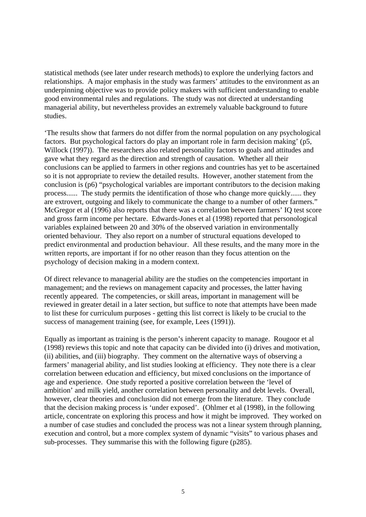statistical methods (see later under research methods) to explore the underlying factors and relationships. A major emphasis in the study was farmers' attitudes to the environment as an underpinning objective was to provide policy makers with sufficient understanding to enable good environmental rules and regulations. The study was not directed at understanding managerial ability, but nevertheless provides an extremely valuable background to future studies.

'The results show that farmers do not differ from the normal population on any psychological factors. But psychological factors do play an important role in farm decision making' (p5, Willock (1997)). The researchers also related personality factors to goals and attitudes and gave what they regard as the direction and strength of causation. Whether all their conclusions can be applied to farmers in other regions and countries has yet to be ascertained so it is not appropriate to review the detailed results. However, another statement from the conclusion is (p6) "psychological variables are important contributors to the decision making process...... The study permits the identification of those who change more quickly...... they are extrovert, outgoing and likely to communicate the change to a number of other farmers." McGregor et al (1996) also reports that there was a correlation between farmers' IQ test score and gross farm income per hectare. Edwards-Jones et al (1998) reported that personological variables explained between 20 and 30% of the observed variation in environmentally oriented behaviour. They also report on a number of structural equations developed to predict environmental and production behaviour. All these results, and the many more in the written reports, are important if for no other reason than they focus attention on the psychology of decision making in a modern context.

Of direct relevance to managerial ability are the studies on the competencies important in management; and the reviews on management capacity and processes, the latter having recently appeared. The competencies, or skill areas, important in management will be reviewed in greater detail in a later section, but suffice to note that attempts have been made to list these for curriculum purposes - getting this list correct is likely to be crucial to the success of management training (see, for example, Lees (1991)).

Equally as important as training is the person's inherent capacity to manage. Rougoor et al (1998) reviews this topic and note that capacity can be divided into (i) drives and motivation, (ii) abilities, and (iii) biography. They comment on the alternative ways of observing a farmers' managerial ability, and list studies looking at efficiency. They note there is a clear correlation between education and efficiency, but mixed conclusions on the importance of age and experience. One study reported a positive correlation between the 'level of ambition' and milk yield, another correlation between personality and debt levels. Overall, however, clear theories and conclusion did not emerge from the literature. They conclude that the decision making process is 'under exposed'. (Ohlmer et al (1998), in the following article, concentrate on exploring this process and how it might be improved. They worked on a number of case studies and concluded the process was not a linear system through planning, execution and control, but a more complex system of dynamic "visits" to various phases and sub-processes. They summarise this with the following figure (p285).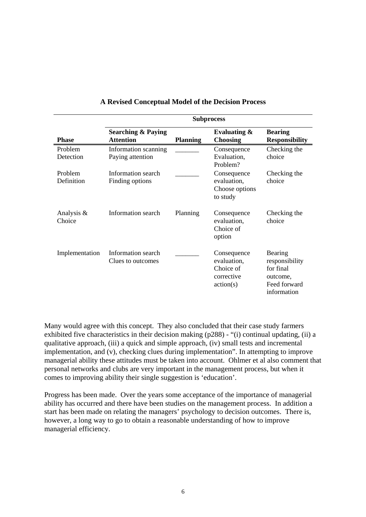|                       | <b>Subprocess</b>                                 |                 |                                                                    |                                                                                   |  |
|-----------------------|---------------------------------------------------|-----------------|--------------------------------------------------------------------|-----------------------------------------------------------------------------------|--|
| <b>Phase</b>          | <b>Searching &amp; Paying</b><br><b>Attention</b> | <b>Planning</b> | Evaluating $\&$<br><b>Choosing</b>                                 | <b>Bearing</b><br><b>Responsibility</b>                                           |  |
| Problem<br>Detection  | Information scanning<br>Paying attention          |                 | Consequence<br>Evaluation,<br>Problem?                             | Checking the<br>choice                                                            |  |
| Problem<br>Definition | Information search<br>Finding options             |                 | Consequence<br>evaluation,<br>Choose options<br>to study           | Checking the<br>choice                                                            |  |
| Analysis &<br>Choice  | Information search                                | Planning        | Consequence<br>evaluation,<br>Choice of<br>option                  | Checking the<br>choice                                                            |  |
| Implementation        | Information search<br>Clues to outcomes           |                 | Consequence<br>evaluation,<br>Choice of<br>corrective<br>action(s) | Bearing<br>responsibility<br>for final<br>outcome,<br>Feed forward<br>information |  |

#### **A Revised Conceptual Model of the Decision Process**

Many would agree with this concept. They also concluded that their case study farmers exhibited five characteristics in their decision making (p288) - "(i) continual updating, (ii) a qualitative approach, (iii) a quick and simple approach, (iv) small tests and incremental implementation, and (v), checking clues during implementation". In attempting to improve managerial ability these attitudes must be taken into account. Ohlmer et al also comment that personal networks and clubs are very important in the management process, but when it comes to improving ability their single suggestion is 'education'.

Progress has been made. Over the years some acceptance of the importance of managerial ability has occurred and there have been studies on the management process. In addition a start has been made on relating the managers' psychology to decision outcomes. There is, however, a long way to go to obtain a reasonable understanding of how to improve managerial efficiency.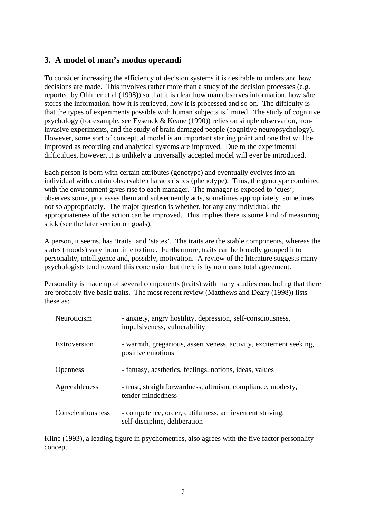### **3. A model of man's modus operandi**

To consider increasing the efficiency of decision systems it is desirable to understand how decisions are made. This involves rather more than a study of the decision processes (e.g. reported by Ohlmer et al (1998)) so that it is clear how man observes information, how s/he stores the information, how it is retrieved, how it is processed and so on. The difficulty is that the types of experiments possible with human subjects is limited. The study of cognitive psychology (for example, see Eysenck & Keane (1990)) relies on simple observation, noninvasive experiments, and the study of brain damaged people (cognitive neuropsychology). However, some sort of conceptual model is an important starting point and one that will be improved as recording and analytical systems are improved. Due to the experimental difficulties, however, it is unlikely a universally accepted model will ever be introduced.

Each person is born with certain attributes (genotype) and eventually evolves into an individual with certain observable characteristics (phenotype). Thus, the genotype combined with the environment gives rise to each manager. The manager is exposed to 'cues', observes some, processes them and subsequently acts, sometimes appropriately, sometimes not so appropriately. The major question is whether, for any any individual, the appropriateness of the action can be improved. This implies there is some kind of measuring stick (see the later section on goals).

A person, it seems, has 'traits' and 'states'. The traits are the stable components, whereas the states (moods) vary from time to time. Furthermore, traits can be broadly grouped into personality, intelligence and, possibly, motivation. A review of the literature suggests many psychologists tend toward this conclusion but there is by no means total agreement.

Personality is made up of several components (traits) with many studies concluding that there are probably five basic traits. The most recent review (Matthews and Deary (1998)) lists these as:

| <b>Neuroticism</b> | - anxiety, angry hostility, depression, self-consciousness,<br>impulsiveness, vulnerability |
|--------------------|---------------------------------------------------------------------------------------------|
| Extroversion       | - warmth, gregarious, assertiveness, activity, excitement seeking,<br>positive emotions     |
| Openness           | - fantasy, aesthetics, feelings, notions, ideas, values                                     |
| Agreeableness      | - trust, straightforwardness, altruism, compliance, modesty,<br>tender mindedness           |
| Conscientiousness  | - competence, order, dutifulness, achievement striving,<br>self-discipline, deliberation    |

Kline (1993), a leading figure in psychometrics, also agrees with the five factor personality concept.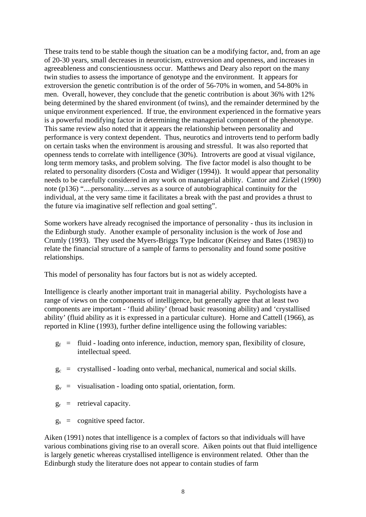These traits tend to be stable though the situation can be a modifying factor, and, from an age of 20-30 years, small decreases in neuroticism, extroversion and openness, and increases in agreeableness and conscientiousness occur. Matthews and Deary also report on the many twin studies to assess the importance of genotype and the environment. It appears for extroversion the genetic contribution is of the order of 56-70% in women, and 54-80% in men. Overall, however, they conclude that the genetic contribution is about 36% with 12% being determined by the shared environment (of twins), and the remainder determined by the unique environment experienced. If true, the environment experienced in the formative years is a powerful modifying factor in determining the managerial component of the phenotype. This same review also noted that it appears the relationship between personality and performance is very context dependent. Thus, neurotics and introverts tend to perform badly on certain tasks when the environment is arousing and stressful. It was also reported that openness tends to correlate with intelligence (30%). Introverts are good at visual vigilance, long term memory tasks, and problem solving. The five factor model is also thought to be related to personality disorders (Costa and Widiger (1994)). It would appear that personality needs to be carefully considered in any work on managerial ability. Cantor and Zirkel (1990) note (p136) "....personality....serves as a source of autobiographical continuity for the individual, at the very same time it facilitates a break with the past and provides a thrust to the future via imaginative self reflection and goal setting".

Some workers have already recognised the importance of personality - thus its inclusion in the Edinburgh study. Another example of personality inclusion is the work of Jose and Crumly (1993). They used the Myers-Briggs Type Indicator (Keirsey and Bates (1983)) to relate the financial structure of a sample of farms to personality and found some positive relationships.

This model of personality has four factors but is not as widely accepted.

Intelligence is clearly another important trait in managerial ability. Psychologists have a range of views on the components of intelligence, but generally agree that at least two components are important - 'fluid ability' (broad basic reasoning ability) and 'crystallised ability' (fluid ability as it is expressed in a particular culture). Horne and Cattell (1966), as reported in Kline (1993), further define intelligence using the following variables:

- $g_f$  = fluid loading onto inference, induction, memory span, flexibility of closure, intellectual speed.
- $g_c$  = crystallised loading onto verbal, mechanical, numerical and social skills.
- $g_v$  = visualisation loading onto spatial, orientation, form.
- $g_r$  = retrieval capacity.
- $g_s$  = cognitive speed factor.

Aiken (1991) notes that intelligence is a complex of factors so that individuals will have various combinations giving rise to an overall score. Aiken points out that fluid intelligence is largely genetic whereas crystallised intelligence is environment related. Other than the Edinburgh study the literature does not appear to contain studies of farm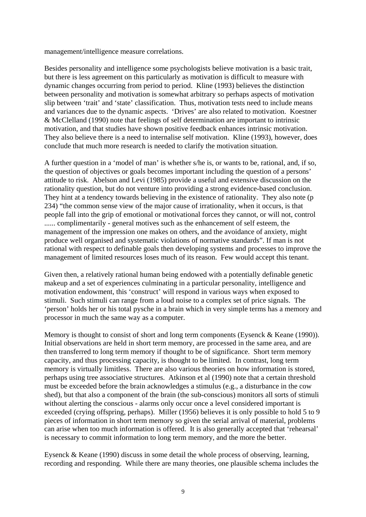management/intelligence measure correlations.

Besides personality and intelligence some psychologists believe motivation is a basic trait, but there is less agreement on this particularly as motivation is difficult to measure with dynamic changes occurring from period to period. Kline (1993) believes the distinction between personality and motivation is somewhat arbitrary so perhaps aspects of motivation slip between 'trait' and 'state' classification. Thus, motivation tests need to include means and variances due to the dynamic aspects. 'Drives' are also related to motivation. Koestner & McClelland (1990) note that feelings of self determination are important to intrinsic motivation, and that studies have shown positive feedback enhances intrinsic motivation. They also believe there is a need to internalise self motivation. Kline (1993), however, does conclude that much more research is needed to clarify the motivation situation.

A further question in a 'model of man' is whether s/he is, or wants to be, rational, and, if so, the question of objectives or goals becomes important including the question of a persons' attitude to risk. Abelson and Levi (1985) provide a useful and extensive discussion on the rationality question, but do not venture into providing a strong evidence-based conclusion. They hint at a tendency towards believing in the existence of rationality. They also note (p 234) "the common sense view of the major cause of irrationality, when it occurs, is that people fall into the grip of emotional or motivational forces they cannot, or will not, control ...... complimentarily - general motives such as the enhancement of self esteem, the management of the impression one makes on others, and the avoidance of anxiety, might produce well organised and systematic violations of normative standards". If man is not rational with respect to definable goals then developing systems and processes to improve the management of limited resources loses much of its reason. Few would accept this tenant.

Given then, a relatively rational human being endowed with a potentially definable genetic makeup and a set of experiences culminating in a particular personality, intelligence and motivation endowment, this 'construct' will respond in various ways when exposed to stimuli. Such stimuli can range from a loud noise to a complex set of price signals. The 'person' holds her or his total pysche in a brain which in very simple terms has a memory and processor in much the same way as a computer.

Memory is thought to consist of short and long term components (Eysenck & Keane (1990)). Initial observations are held in short term memory, are processed in the same area, and are then transferred to long term memory if thought to be of significance. Short term memory capacity, and thus processing capacity, is thought to be limited. In contrast, long term memory is virtually limitless. There are also various theories on how information is stored, perhaps using tree associative structures. Atkinson et al (1990) note that a certain threshold must be exceeded before the brain acknowledges a stimulus (e.g., a disturbance in the cow shed), but that also a component of the brain (the sub-conscious) monitors all sorts of stimuli without alerting the conscious - alarms only occur once a level considered important is exceeded (crying offspring, perhaps). Miller (1956) believes it is only possible to hold 5 to 9 pieces of information in short term memory so given the serial arrival of material, problems can arise when too much information is offered. It is also generally accepted that 'rehearsal' is necessary to commit information to long term memory, and the more the better.

Eysenck & Keane (1990) discuss in some detail the whole process of observing, learning, recording and responding. While there are many theories, one plausible schema includes the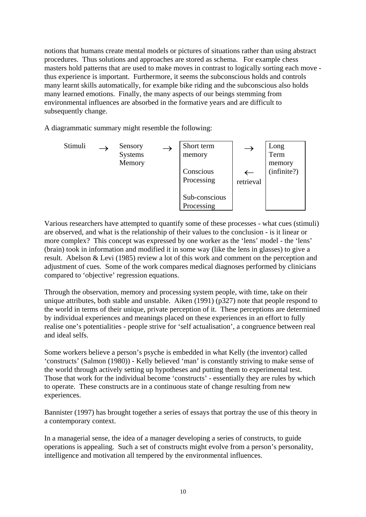notions that humans create mental models or pictures of situations rather than using abstract procedures. Thus solutions and approaches are stored as schema. For example chess masters hold patterns that are used to make moves in contrast to logically sorting each move thus experience is important. Furthermore, it seems the subconscious holds and controls many learnt skills automatically, for example bike riding and the subconscious also holds many learned emotions. Finally, the many aspects of our beings stemming from environmental influences are absorbed in the formative years and are difficult to subsequently change.

A diagrammatic summary might resemble the following:

Stimuli → Sensory Systems Memory → Short term memory Conscious Processing Sub-conscious Processing → ← retrieval Long Term memory (infinite?)

Various researchers have attempted to quantify some of these processes - what cues (stimuli) are observed, and what is the relationship of their values to the conclusion - is it linear or more complex? This concept was expressed by one worker as the 'lens' model - the 'lens' (brain) took in information and modified it in some way (like the lens in glasses) to give a result. Abelson & Levi (1985) review a lot of this work and comment on the perception and adjustment of cues. Some of the work compares medical diagnoses performed by clinicians compared to 'objective' regression equations.

Through the observation, memory and processing system people, with time, take on their unique attributes, both stable and unstable. Aiken (1991) (p327) note that people respond to the world in terms of their unique, private perception of it. These perceptions are determined by individual experiences and meanings placed on these experiences in an effort to fully realise one's potentialities - people strive for 'self actualisation', a congruence between real and ideal selfs.

Some workers believe a person's psyche is embedded in what Kelly (the inventor) called 'constructs' (Salmon (1980)) - Kelly believed 'man' is constantly striving to make sense of the world through actively setting up hypotheses and putting them to experimental test. Those that work for the individual become 'constructs' - essentially they are rules by which to operate. These constructs are in a continuous state of change resulting from new experiences.

Bannister (1997) has brought together a series of essays that portray the use of this theory in a contemporary context.

In a managerial sense, the idea of a manager developing a series of constructs, to guide operations is appealing. Such a set of constructs might evolve from a person's personality, intelligence and motivation all tempered by the environmental influences.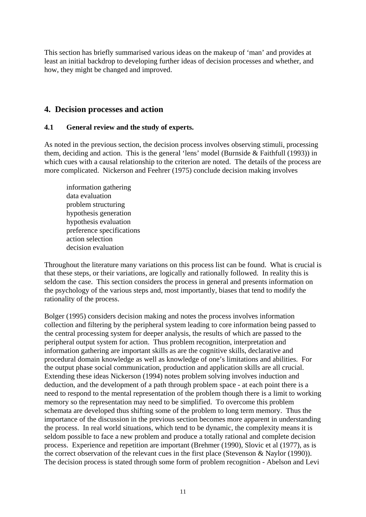This section has briefly summarised various ideas on the makeup of 'man' and provides at least an initial backdrop to developing further ideas of decision processes and whether, and how, they might be changed and improved.

#### **4. Decision processes and action**

#### **4.1 General review and the study of experts.**

As noted in the previous section, the decision process involves observing stimuli, processing them, deciding and action. This is the general 'lens' model (Burnside & Faithfull (1993)) in which cues with a causal relationship to the criterion are noted. The details of the process are more complicated. Nickerson and Feehrer (1975) conclude decision making involves

 information gathering data evaluation problem structuring hypothesis generation hypothesis evaluation preference specifications action selection decision evaluation

Throughout the literature many variations on this process list can be found. What is crucial is that these steps, or their variations, are logically and rationally followed. In reality this is seldom the case. This section considers the process in general and presents information on the psychology of the various steps and, most importantly, biases that tend to modify the rationality of the process.

Bolger (1995) considers decision making and notes the process involves information collection and filtering by the peripheral system leading to core information being passed to the central processing system for deeper analysis, the results of which are passed to the peripheral output system for action. Thus problem recognition, interpretation and information gathering are important skills as are the cognitive skills, declarative and procedural domain knowledge as well as knowledge of one's limitations and abilities. For the output phase social communication, production and application skills are all crucial. Extending these ideas Nickerson (1994) notes problem solving involves induction and deduction, and the development of a path through problem space - at each point there is a need to respond to the mental representation of the problem though there is a limit to working memory so the representation may need to be simplified. To overcome this problem schemata are developed thus shifting some of the problem to long term memory. Thus the importance of the discussion in the previous section becomes more apparent in understanding the process. In real world situations, which tend to be dynamic, the complexity means it is seldom possible to face a new problem and produce a totally rational and complete decision process. Experience and repetition are important (Brehmer (1990), Slovic et al (1977), as is the correct observation of the relevant cues in the first place (Stevenson & Naylor (1990)). The decision process is stated through some form of problem recognition - Abelson and Levi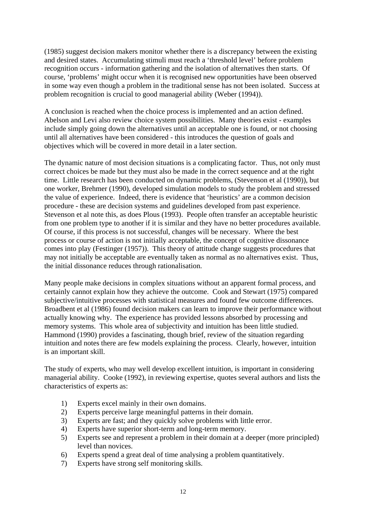(1985) suggest decision makers monitor whether there is a discrepancy between the existing and desired states. Accumulating stimuli must reach a 'threshold level' before problem recognition occurs - information gathering and the isolation of alternatives then starts. Of course, 'problems' might occur when it is recognised new opportunities have been observed in some way even though a problem in the traditional sense has not been isolated. Success at problem recognition is crucial to good managerial ability (Weber (1994)).

A conclusion is reached when the choice process is implemented and an action defined. Abelson and Levi also review choice system possibilities. Many theories exist - examples include simply going down the alternatives until an acceptable one is found, or not choosing until all alternatives have been considered - this introduces the question of goals and objectives which will be covered in more detail in a later section.

The dynamic nature of most decision situations is a complicating factor. Thus, not only must correct choices be made but they must also be made in the correct sequence and at the right time. Little research has been conducted on dynamic problems, (Stevenson et al (1990)), but one worker, Brehmer (1990), developed simulation models to study the problem and stressed the value of experience. Indeed, there is evidence that 'heuristics' are a common decision procedure - these are decision systems and guidelines developed from past experience. Stevenson et al note this, as does Plous (1993). People often transfer an acceptable heuristic from one problem type to another if it is similar and they have no better procedures available. Of course, if this process is not successful, changes will be necessary. Where the best process or course of action is not initially acceptable, the concept of cognitive dissonance comes into play (Festinger (1957)). This theory of attitude change suggests procedures that may not initially be acceptable are eventually taken as normal as no alternatives exist. Thus, the initial dissonance reduces through rationalisation.

Many people make decisions in complex situations without an apparent formal process, and certainly cannot explain how they achieve the outcome. Cook and Stewart (1975) compared subjective/intuitive processes with statistical measures and found few outcome differences. Broadbent et al (1986) found decision makers can learn to improve their performance without actually knowing why. The experience has provided lessons absorbed by processing and memory systems. This whole area of subjectivity and intuition has been little studied. Hammond (1990) provides a fascinating, though brief, review of the situation regarding intuition and notes there are few models explaining the process. Clearly, however, intuition is an important skill.

The study of experts, who may well develop excellent intuition, is important in considering managerial ability. Cooke (1992), in reviewing expertise, quotes several authors and lists the characteristics of experts as:

- 1) Experts excel mainly in their own domains.
- 2) Experts perceive large meaningful patterns in their domain.
- 3) Experts are fast; and they quickly solve problems with little error.
- 4) Experts have superior short-term and long-term memory.
- 5) Experts see and represent a problem in their domain at a deeper (more principled) level than novices.
- 6) Experts spend a great deal of time analysing a problem quantitatively.
- 7) Experts have strong self monitoring skills.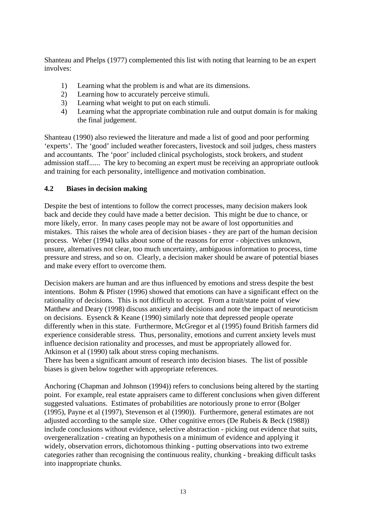Shanteau and Phelps (1977) complemented this list with noting that learning to be an expert involves:

- 1) Learning what the problem is and what are its dimensions.
- 2) Learning how to accurately perceive stimuli.
- 3) Learning what weight to put on each stimuli.
- 4) Learning what the appropriate combination rule and output domain is for making the final judgement.

Shanteau (1990) also reviewed the literature and made a list of good and poor performing 'experts'. The 'good' included weather forecasters, livestock and soil judges, chess masters and accountants. The 'poor' included clinical psychologists, stock brokers, and student admission staff...... The key to becoming an expert must be receiving an appropriate outlook and training for each personality, intelligence and motivation combination.

#### **4.2 Biases in decision making**

Despite the best of intentions to follow the correct processes, many decision makers look back and decide they could have made a better decision. This might be due to chance, or more likely, error. In many cases people may not be aware of lost opportunities and mistakes. This raises the whole area of decision biases - they are part of the human decision process. Weber (1994) talks about some of the reasons for error - objectives unknown, unsure, alternatives not clear, too much uncertainty, ambiguous information to process, time pressure and stress, and so on. Clearly, a decision maker should be aware of potential biases and make every effort to overcome them.

Decision makers are human and are thus influenced by emotions and stress despite the best intentions. Bohm & Pfister (1996) showed that emotions can have a significant effect on the rationality of decisions. This is not difficult to accept. From a trait/state point of view Matthew and Deary (1998) discuss anxiety and decisions and note the impact of neuroticism on decisions. Eysenck & Keane (1990) similarly note that depressed people operate differently when in this state. Furthermore, McGregor et al (1995) found British farmers did experience considerable stress. Thus, personality, emotions and current anxiety levels must influence decision rationality and processes, and must be appropriately allowed for. Atkinson et al (1990) talk about stress coping mechanisms.

There has been a significant amount of research into decision biases. The list of possible biases is given below together with appropriate references.

Anchoring (Chapman and Johnson (1994)) refers to conclusions being altered by the starting point. For example, real estate appraisers came to different conclusions when given different suggested valuations. Estimates of probabilities are notoriously prone to error (Bolger (1995), Payne et al (1997), Stevenson et al (1990)). Furthermore, general estimates are not adjusted according to the sample size. Other cognitive errors (De Rubeis & Beck (1988)) include conclusions without evidence, selective abstraction - picking out evidence that suits, overgeneralization - creating an hypothesis on a minimum of evidence and applying it widely, observation errors, dichotomous thinking - putting observations into two extreme categories rather than recognising the continuous reality, chunking - breaking difficult tasks into inappropriate chunks.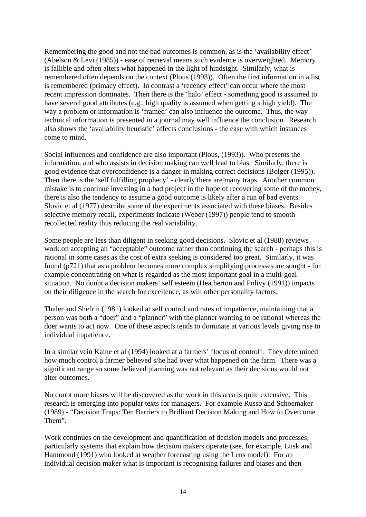Remembering the good and not the bad outcomes is common, as is the 'availability effect' (Abelson & Levi (1985)) - ease of retrieval means such evidence is overweighted. Memory is fallible and often alters what happened in the light of hindsight. Similarly, what is remembered often depends on the context (Plous (1993)). Often the first information in a list is remembered (primacy effect). In contrast a 'recency effect' can occur where the most recent impression dominates. Then there is the 'halo' effect - something good is assumed to have several good attributes (e.g., high quality is assumed when getting a high yield). The way a problem or information is 'framed' can also influence the outcome. Thus, the way technical information is presented in a journal may well influence the conclusion. Research also shows the 'availability heuristic' affects conclusions - the ease with which instances come to mind.

Social influences and confidence are also important (Plous, (1993)). Who presents the information, and who assists in decision making can well lead to bias. Similarly, there is good evidence that overconfidence is a danger in making correct decisions (Bolger (1995)). Then there is the 'self fulfilling prophecy' - clearly there are many traps. Another common mistake is to continue investing in a bad project in the hope of recovering some of the money, there is also the tendency to assume a good outcome is likely after a run of bad events. Slovic et al (1977) describe some of the experiments associated with these biases. Besides selective memory recall, experiments indicate (Weber (1997)) people tend to smooth recollected reality thus reducing the real variability.

Some people are less than diligent in seeking good decisions. Slovic et al (1988) reviews work on accepting an "acceptable" outcome rather than continuing the search - perhaps this is rational in some cases as the cost of extra seeking is considered too great. Similarly, it was found (p721) that as a problem becomes more complex simplifying processes are sought - for example concentrating on what is regarded as the most important goal in a multi-goal situation. No doubt a decision makers' self esteem (Heatherton and Polivy (1991)) impacts on their diligence in the search for excellence, as will other personality factors.

Thaler and Shefrin (1981) looked at self control and rates of impatience, maintaining that a person was both a "doer" and a "planner" with the planner wanting to be rational whereas the doer wants to act now. One of these aspects tends to dominate at various levels giving rise to individual impatience.

In a similar vein Kaine et al (1994) looked at a farmers' 'locus of control'. They determined how much control a farmer believed s/he had over what happened on the farm. There was a significant range so some believed planning was not relevant as their decisions would not alter outcomes.

No doubt more biases will be discovered as the work in this area is quite extensive. This research is emerging into popular texts for managers. For example Russo and Schoemaker (1989) - "Decision Traps: Ten Barriers to Brilliant Decision Making and How to Overcome Them".

Work continues on the development and quantification of decision models and processes, particularly systems that explain how decision makers operate (see, for example, Lusk and Hammond (1991) who looked at weather forecasting using the Lens model). For an individual decision maker what is important is recognising failures and biases and then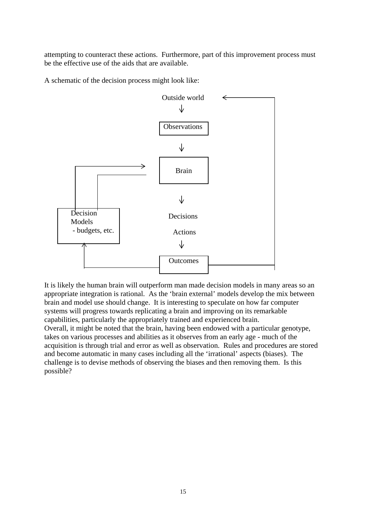attempting to counteract these actions. Furthermore, part of this improvement process must be the effective use of the aids that are available.

A schematic of the decision process might look like:



It is likely the human brain will outperform man made decision models in many areas so an appropriate integration is rational. As the 'brain external' models develop the mix between brain and model use should change. It is interesting to speculate on how far computer systems will progress towards replicating a brain and improving on its remarkable capabilities, particularly the appropriately trained and experienced brain. Overall, it might be noted that the brain, having been endowed with a particular genotype, takes on various processes and abilities as it observes from an early age - much of the acquisition is through trial and error as well as observation. Rules and procedures are stored and become automatic in many cases including all the 'irrational' aspects (biases). The challenge is to devise methods of observing the biases and then removing them. Is this possible?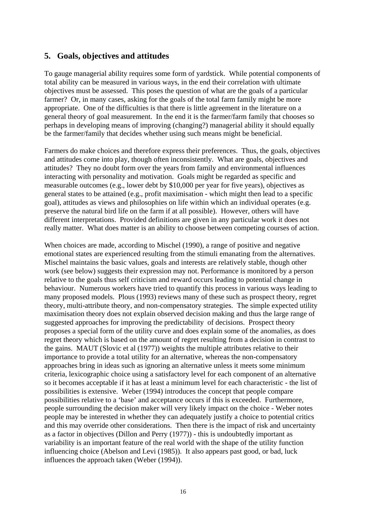#### **5. Goals, objectives and attitudes**

To gauge managerial ability requires some form of yardstick. While potential components of total ability can be measured in various ways, in the end their correlation with ultimate objectives must be assessed. This poses the question of what are the goals of a particular farmer? Or, in many cases, asking for the goals of the total farm family might be more appropriate. One of the difficulties is that there is little agreement in the literature on a general theory of goal measurement. In the end it is the farmer/farm family that chooses so perhaps in developing means of improving (changing?) managerial ability it should equally be the farmer/family that decides whether using such means might be beneficial.

Farmers do make choices and therefore express their preferences. Thus, the goals, objectives and attitudes come into play, though often inconsistently. What are goals, objectives and attitudes? They no doubt form over the years from family and environmental influences interacting with personality and motivation. Goals might be regarded as specific and measurable outcomes (e.g., lower debt by \$10,000 per year for five years), objectives as general states to be attained (e.g., profit maximisation - which might then lead to a specific goal), attitudes as views and philosophies on life within which an individual operates (e.g. preserve the natural bird life on the farm if at all possible). However, others will have different interpretations. Provided definitions are given in any particular work it does not really matter. What does matter is an ability to choose between competing courses of action.

When choices are made, according to Mischel (1990), a range of positive and negative emotional states are experienced resulting from the stimuli emanating from the alternatives. Mischel maintains the basic values, goals and interests are relatively stable, though other work (see below) suggests their expression may not. Performance is monitored by a person relative to the goals thus self criticism and reward occurs leading to potential change in behaviour. Numerous workers have tried to quantify this process in various ways leading to many proposed models. Plous (1993) reviews many of these such as prospect theory, regret theory, multi-attribute theory, and non-compensatory strategies. The simple expected utility maximisation theory does not explain observed decision making and thus the large range of suggested approaches for improving the predictability of decisions. Prospect theory proposes a special form of the utility curve and does explain some of the anomalies, as does regret theory which is based on the amount of regret resulting from a decision in contrast to the gains. MAUT (Slovic et al (1977)) weights the multiple attributes relative to their importance to provide a total utility for an alternative, whereas the non-compensatory approaches bring in ideas such as ignoring an alternative unless it meets some minimum criteria, lexicographic choice using a satisfactory level for each component of an alternative so it becomes acceptable if it has at least a minimum level for each characteristic - the list of possibilities is extensive. Weber (1994) introduces the concept that people compare possibilities relative to a 'base' and acceptance occurs if this is exceeded. Furthermore, people surrounding the decision maker will very likely impact on the choice - Weber notes people may be interested in whether they can adequately justify a choice to potential critics and this may override other considerations. Then there is the impact of risk and uncertainty as a factor in objectives (Dillon and Perry (1977)) - this is undoubtedly important as variability is an important feature of the real world with the shape of the utility function influencing choice (Abelson and Levi (1985)). It also appears past good, or bad, luck influences the approach taken (Weber (1994)).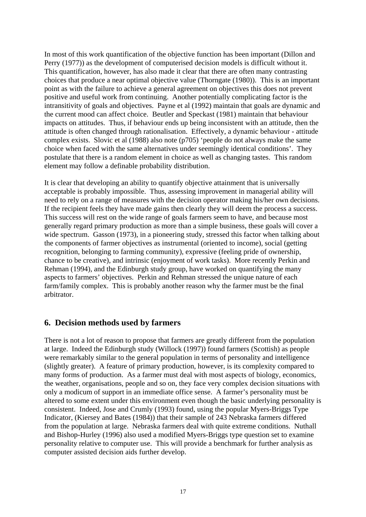In most of this work quantification of the objective function has been important (Dillon and Perry (1977)) as the development of computerised decision models is difficult without it. This quantification, however, has also made it clear that there are often many contrasting choices that produce a near optimal objective value (Thorngate (1980)). This is an important point as with the failure to achieve a general agreement on objectives this does not prevent positive and useful work from continuing. Another potentially complicating factor is the intransitivity of goals and objectives. Payne et al (1992) maintain that goals are dynamic and the current mood can affect choice. Beutler and Speckast (1981) maintain that behaviour impacts on attitudes. Thus, if behaviour ends up being inconsistent with an attitude, then the attitude is often changed through rationalisation. Effectively, a dynamic behaviour - attitude complex exists. Slovic et al (1988) also note (p705) 'people do not always make the same choice when faced with the same alternatives under seemingly identical conditions'. They postulate that there is a random element in choice as well as changing tastes. This random element may follow a definable probability distribution.

It is clear that developing an ability to quantify objective attainment that is universally acceptable is probably impossible. Thus, assessing improvement in managerial ability will need to rely on a range of measures with the decision operator making his/her own decisions. If the recipient feels they have made gains then clearly they will deem the process a success. This success will rest on the wide range of goals farmers seem to have, and because most generally regard primary production as more than a simple business, these goals will cover a wide spectrum. Gasson (1973), in a pioneering study, stressed this factor when talking about the components of farmer objectives as instrumental (oriented to income), social (getting recognition, belonging to farming community), expressive (feeling pride of ownership, chance to be creative), and intrinsic (enjoyment of work tasks). More recently Perkin and Rehman (1994), and the Edinburgh study group, have worked on quantifying the many aspects to farmers' objectives. Perkin and Rehman stressed the unique nature of each farm/family complex. This is probably another reason why the farmer must be the final arbitrator.

#### **6. Decision methods used by farmers**

There is not a lot of reason to propose that farmers are greatly different from the population at large. Indeed the Edinburgh study (Willock (1997)) found farmers (Scottish) as people were remarkably similar to the general population in terms of personality and intelligence (slightly greater). A feature of primary production, however, is its complexity compared to many forms of production. As a farmer must deal with most aspects of biology, economics, the weather, organisations, people and so on, they face very complex decision situations with only a modicum of support in an immediate office sense. A farmer's personality must be altered to some extent under this environment even though the basic underlying personality is consistent. Indeed, Jose and Crumly (1993) found, using the popular Myers-Briggs Type Indicator, (Kiersey and Bates (1984)) that their sample of 243 Nebraska farmers differed from the population at large. Nebraska farmers deal with quite extreme conditions. Nuthall and Bishop-Hurley (1996) also used a modified Myers-Briggs type question set to examine personality relative to computer use. This will provide a benchmark for further analysis as computer assisted decision aids further develop.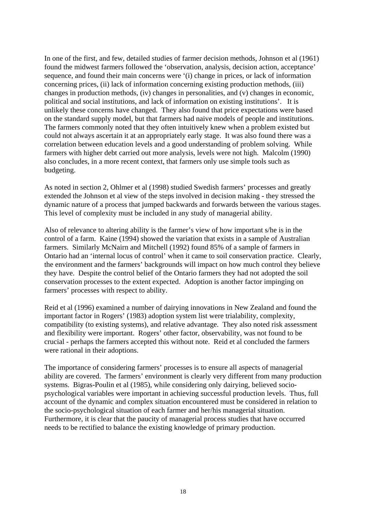In one of the first, and few, detailed studies of farmer decision methods, Johnson et al (1961) found the midwest farmers followed the 'observation, analysis, decision action, acceptance' sequence, and found their main concerns were '(i) change in prices, or lack of information concerning prices, (ii) lack of information concerning existing production methods, (iii) changes in production methods, (iv) changes in personalities, and (v) changes in economic, political and social institutions, and lack of information on existing institutions'. It is unlikely these concerns have changed. They also found that price expectations were based on the standard supply model, but that farmers had naive models of people and institutions. The farmers commonly noted that they often intuitively knew when a problem existed but could not always ascertain it at an appropriately early stage. It was also found there was a correlation between education levels and a good understanding of problem solving. While farmers with higher debt carried out more analysis, levels were not high. Malcolm (1990) also concludes, in a more recent context, that farmers only use simple tools such as budgeting.

As noted in section 2, Ohlmer et al (1998) studied Swedish farmers' processes and greatly extended the Johnson et al view of the steps involved in decision making - they stressed the dynamic nature of a process that jumped backwards and forwards between the various stages. This level of complexity must be included in any study of managerial ability.

Also of relevance to altering ability is the farmer's view of how important s/he is in the control of a farm. Kaine (1994) showed the variation that exists in a sample of Australian farmers. Similarly McNairn and Mitchell (1992) found 85% of a sample of farmers in Ontario had an 'internal locus of control' when it came to soil conservation practice. Clearly, the environment and the farmers' backgrounds will impact on how much control they believe they have. Despite the control belief of the Ontario farmers they had not adopted the soil conservation processes to the extent expected. Adoption is another factor impinging on farmers' processes with respect to ability.

Reid et al (1996) examined a number of dairying innovations in New Zealand and found the important factor in Rogers' (1983) adoption system list were trialability, complexity, compatibility (to existing systems), and relative advantage. They also noted risk assessment and flexibility were important. Rogers' other factor, observability, was not found to be crucial - perhaps the farmers accepted this without note. Reid et al concluded the farmers were rational in their adoptions.

The importance of considering farmers' processes is to ensure all aspects of managerial ability are covered. The farmers' environment is clearly very different from many production systems. Bigras-Poulin et al (1985), while considering only dairying, believed sociopsychological variables were important in achieving successful production levels. Thus, full account of the dynamic and complex situation encountered must be considered in relation to the socio-psychological situation of each farmer and her/his managerial situation. Furthermore, it is clear that the paucity of managerial process studies that have occurred needs to be rectified to balance the existing knowledge of primary production.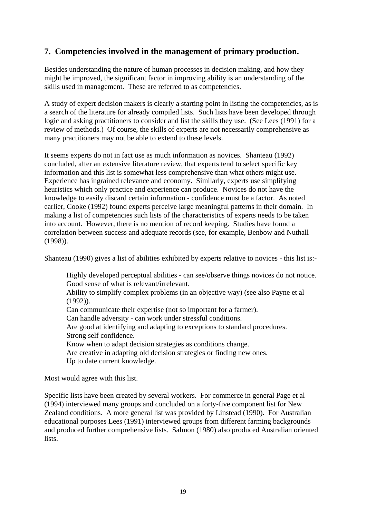## **7. Competencies involved in the management of primary production.**

Besides understanding the nature of human processes in decision making, and how they might be improved, the significant factor in improving ability is an understanding of the skills used in management. These are referred to as competencies.

A study of expert decision makers is clearly a starting point in listing the competencies, as is a search of the literature for already compiled lists. Such lists have been developed through logic and asking practitioners to consider and list the skills they use. (See Lees (1991) for a review of methods.) Of course, the skills of experts are not necessarily comprehensive as many practitioners may not be able to extend to these levels.

It seems experts do not in fact use as much information as novices. Shanteau (1992) concluded, after an extensive literature review, that experts tend to select specific key information and this list is somewhat less comprehensive than what others might use. Experience has ingrained relevance and economy. Similarly, experts use simplifying heuristics which only practice and experience can produce. Novices do not have the knowledge to easily discard certain information - confidence must be a factor. As noted earlier, Cooke (1992) found experts perceive large meaningful patterns in their domain. In making a list of competencies such lists of the characteristics of experts needs to be taken into account. However, there is no mention of record keeping. Studies have found a correlation between success and adequate records (see, for example, Benbow and Nuthall (1998)).

Shanteau (1990) gives a list of abilities exhibited by experts relative to novices - this list is:-

Highly developed perceptual abilities - can see/observe things novices do not notice. Good sense of what is relevant/irrelevant.

Ability to simplify complex problems (in an objective way) (see also Payne et al (1992)).

Can communicate their expertise (not so important for a farmer).

Can handle adversity - can work under stressful conditions.

Are good at identifying and adapting to exceptions to standard procedures. Strong self confidence.

Know when to adapt decision strategies as conditions change.

 Are creative in adapting old decision strategies or finding new ones. Up to date current knowledge.

Most would agree with this list.

Specific lists have been created by several workers. For commerce in general Page et al (1994) interviewed many groups and concluded on a forty-five component list for New Zealand conditions. A more general list was provided by Linstead (1990). For Australian educational purposes Lees (1991) interviewed groups from different farming backgrounds and produced further comprehensive lists. Salmon (1980) also produced Australian oriented lists.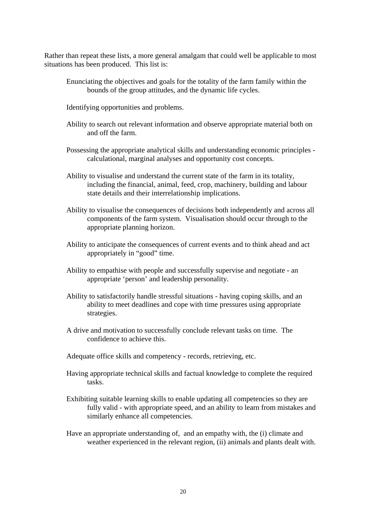Rather than repeat these lists, a more general amalgam that could well be applicable to most situations has been produced. This list is:

- Enunciating the objectives and goals for the totality of the farm family within the bounds of the group attitudes, and the dynamic life cycles.
- Identifying opportunities and problems.
- Ability to search out relevant information and observe appropriate material both on and off the farm.
- Possessing the appropriate analytical skills and understanding economic principles calculational, marginal analyses and opportunity cost concepts.
- Ability to visualise and understand the current state of the farm in its totality, including the financial, animal, feed, crop, machinery, building and labour state details and their interrelationship implications.
- Ability to visualise the consequences of decisions both independently and across all components of the farm system. Visualisation should occur through to the appropriate planning horizon.
- Ability to anticipate the consequences of current events and to think ahead and act appropriately in "good" time.
- Ability to empathise with people and successfully supervise and negotiate an appropriate 'person' and leadership personality.
- Ability to satisfactorily handle stressful situations having coping skills, and an ability to meet deadlines and cope with time pressures using appropriate strategies.
- A drive and motivation to successfully conclude relevant tasks on time. The confidence to achieve this.
- Adequate office skills and competency records, retrieving, etc.
- Having appropriate technical skills and factual knowledge to complete the required tasks.
- Exhibiting suitable learning skills to enable updating all competencies so they are fully valid - with appropriate speed, and an ability to learn from mistakes and similarly enhance all competencies.
- Have an appropriate understanding of, and an empathy with, the (i) climate and weather experienced in the relevant region, (ii) animals and plants dealt with.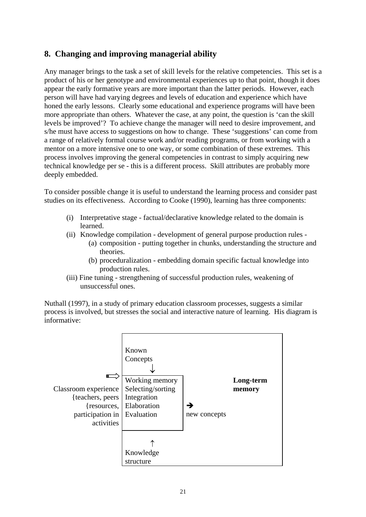## **8. Changing and improving managerial ability**

Any manager brings to the task a set of skill levels for the relative competencies. This set is a product of his or her genotype and environmental experiences up to that point, though it does appear the early formative years are more important than the latter periods. However, each person will have had varying degrees and levels of education and experience which have honed the early lessons. Clearly some educational and experience programs will have been more appropriate than others. Whatever the case, at any point, the question is 'can the skill levels be improved'? To achieve change the manager will need to desire improvement, and s/he must have access to suggestions on how to change. These 'suggestions' can come from a range of relatively formal course work and/or reading programs, or from working with a mentor on a more intensive one to one way, or some combination of these extremes. This process involves improving the general competencies in contrast to simply acquiring new technical knowledge per se - this is a different process. Skill attributes are probably more deeply embedded.

To consider possible change it is useful to understand the learning process and consider past studies on its effectiveness. According to Cooke (1990), learning has three components:

- (i) Interpretative stage factual/declarative knowledge related to the domain is learned.
- (ii) Knowledge compilation development of general purpose production rules (a) composition - putting together in chunks, understanding the structure and theories.
	- (b) proceduralization embedding domain specific factual knowledge into production rules.
- (iii) Fine tuning strengthening of successful production rules, weakening of unsuccessful ones.

Nuthall (1997), in a study of primary education classroom processes, suggests a similar process is involved, but stresses the social and interactive nature of learning. His diagram is informative:

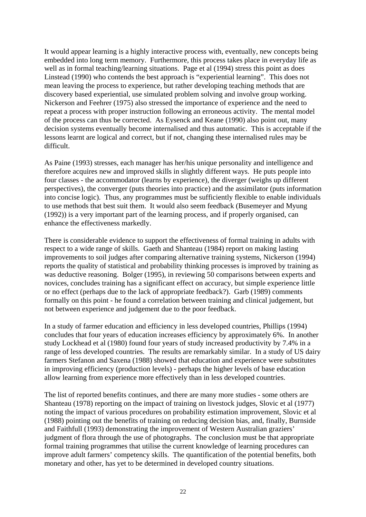It would appear learning is a highly interactive process with, eventually, new concepts being embedded into long term memory. Furthermore, this process takes place in everyday life as well as in formal teaching/learning situations. Page et al (1994) stress this point as does Linstead (1990) who contends the best approach is "experiential learning". This does not mean leaving the process to experience, but rather developing teaching methods that are discovery based experiential, use simulated problem solving and involve group working. Nickerson and Feehrer (1975) also stressed the importance of experience and the need to repeat a process with proper instruction following an erroneous activity. The mental model of the process can thus be corrected. As Eysenck and Keane (1990) also point out, many decision systems eventually become internalised and thus automatic. This is acceptable if the lessons learnt are logical and correct, but if not, changing these internalised rules may be difficult.

As Paine (1993) stresses, each manager has her/his unique personality and intelligence and therefore acquires new and improved skills in slightly different ways. He puts people into four classes - the accommodator (learns by experience), the diverger (weighs up different perspectives), the converger (puts theories into practice) and the assimilator (puts information into concise logic). Thus, any programmes must be sufficiently flexible to enable individuals to use methods that best suit them. It would also seem feedback (Busemeyer and Myung (1992)) is a very important part of the learning process, and if properly organised, can enhance the effectiveness markedly.

There is considerable evidence to support the effectiveness of formal training in adults with respect to a wide range of skills. Gaeth and Shanteau (1984) report on making lasting improvements to soil judges after comparing alternative training systems, Nickerson (1994) reports the quality of statistical and probability thinking processes is improved by training as was deductive reasoning. Bolger (1995), in reviewing 50 comparisons between experts and novices, concludes training has a significant effect on accuracy, but simple experience little or no effect (perhaps due to the lack of appropriate feedback?). Garb (1989) comments formally on this point - he found a correlation between training and clinical judgement, but not between experience and judgement due to the poor feedback.

In a study of farmer education and efficiency in less developed countries, Phillips (1994) concludes that four years of education increases efficiency by approximately 6%. In another study Lockhead et al (1980) found four years of study increased productivity by 7.4% in a range of less developed countries. The results are remarkably similar. In a study of US dairy farmers Stefanon and Saxena (1988) showed that education and experience were substitutes in improving efficiency (production levels) - perhaps the higher levels of base education allow learning from experience more effectively than in less developed countries.

The list of reported benefits continues, and there are many more studies - some others are Shanteau (1978) reporting on the impact of training on livestock judges, Slovic et al (1977) noting the impact of various procedures on probability estimation improvement, Slovic et al (1988) pointing out the benefits of training on reducing decision bias, and, finally, Burnside and Faithfull (1993) demonstrating the improvement of Western Australian graziers' judgment of flora through the use of photographs. The conclusion must be that appropriate formal training programmes that utilise the current knowledge of learning procedures can improve adult farmers' competency skills. The quantification of the potential benefits, both monetary and other, has yet to be determined in developed country situations.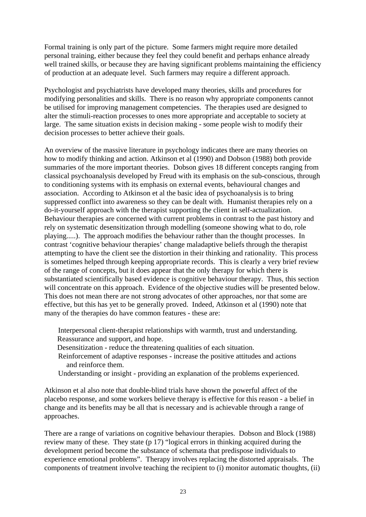Formal training is only part of the picture. Some farmers might require more detailed personal training, either because they feel they could benefit and perhaps enhance already well trained skills, or because they are having significant problems maintaining the efficiency of production at an adequate level. Such farmers may require a different approach.

Psychologist and psychiatrists have developed many theories, skills and procedures for modifying personalities and skills. There is no reason why appropriate components cannot be utilised for improving management competencies. The therapies used are designed to alter the stimuli-reaction processes to ones more appropriate and acceptable to society at large. The same situation exists in decision making - some people wish to modify their decision processes to better achieve their goals.

An overview of the massive literature in psychology indicates there are many theories on how to modify thinking and action. Atkinson et al (1990) and Dobson (1988) both provide summaries of the more important theories. Dobson gives 18 different concepts ranging from classical psychoanalysis developed by Freud with its emphasis on the sub-conscious, through to conditioning systems with its emphasis on external events, behavioural changes and association. According to Atkinson et al the basic idea of psychoanalysis is to bring suppressed conflict into awareness so they can be dealt with. Humanist therapies rely on a do-it-yourself approach with the therapist supporting the client in self-actualization. Behaviour therapies are concerned with current problems in contrast to the past history and rely on systematic desensitization through modelling (someone showing what to do, role playing.....). The approach modifies the behaviour rather than the thought processes. In contrast 'cognitive behaviour therapies' change maladaptive beliefs through the therapist attempting to have the client see the distortion in their thinking and rationality. This process is sometimes helped through keeping appropriate records. This is clearly a very brief review of the range of concepts, but it does appear that the only therapy for which there is substantiated scientifically based evidence is cognitive behaviour therapy. Thus, this section will concentrate on this approach. Evidence of the objective studies will be presented below. This does not mean there are not strong advocates of other approaches, nor that some are effective, but this has yet to be generally proved. Indeed, Atkinson et al (1990) note that many of the therapies do have common features - these are:

Interpersonal client-therapist relationships with warmth, trust and understanding. Reassurance and support, and hope.

- Desensitization reduce the threatening qualities of each situation.
- Reinforcement of adaptive responses increase the positive attitudes and actions and reinforce them.
- Understanding or insight providing an explanation of the problems experienced.

Atkinson et al also note that double-blind trials have shown the powerful affect of the placebo response, and some workers believe therapy is effective for this reason - a belief in change and its benefits may be all that is necessary and is achievable through a range of approaches.

There are a range of variations on cognitive behaviour therapies. Dobson and Block (1988) review many of these. They state (p 17) "logical errors in thinking acquired during the development period become the substance of schemata that predispose individuals to experience emotional problems". Therapy involves replacing the distorted appraisals. The components of treatment involve teaching the recipient to (i) monitor automatic thoughts, (ii)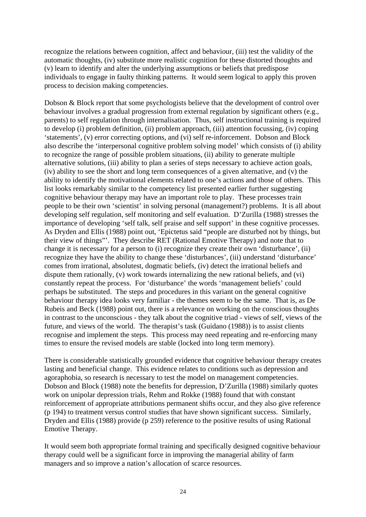recognize the relations between cognition, affect and behaviour, (iii) test the validity of the automatic thoughts, (iv) substitute more realistic cognition for these distorted thoughts and (v) learn to identify and alter the underlying assumptions or beliefs that predispose individuals to engage in faulty thinking patterns. It would seem logical to apply this proven process to decision making competencies.

Dobson & Block report that some psychologists believe that the development of control over behaviour involves a gradual progression from external regulation by significant others (e.g., parents) to self regulation through internalisation. Thus, self instructional training is required to develop (i) problem definition, (ii) problem approach, (iii) attention focussing, (iv) coping 'statements', (v) error correcting options, and (vi) self re-inforcement. Dobson and Block also describe the 'interpersonal cognitive problem solving model' which consists of (i) ability to recognize the range of possible problem situations, (ii) ability to generate multiple alternative solutions, (iii) ability to plan a series of steps necessary to achieve action goals, (iv) ability to see the short and long term consequences of a given alternative, and (v) the ability to identify the motivational elements related to one's actions and those of others. This list looks remarkably similar to the competency list presented earlier further suggesting cognitive behaviour therapy may have an important role to play. These processes train people to be their own 'scientist' in solving personal (management?) problems. It is all about developing self regulation, self monitoring and self evaluation. D'Zurilla (1988) stresses the importance of developing 'self talk, self praise and self support' in these cognitive processes. As Dryden and Ellis (1988) point out, 'Epictetus said "people are disturbed not by things, but their view of things"'. They describe RET (Rational Emotive Therapy) and note that to change it is necessary for a person to (i) recognize they create their own 'disturbance', (ii) recognize they have the ability to change these 'disturbances', (iii) understand 'disturbance' comes from irrational, absolutest, dogmatic beliefs, (iv) detect the irrational beliefs and dispute them rationally, (v) work towards internalizing the new rational beliefs, and (vi) constantly repeat the process. For 'disturbance' the words 'management beliefs' could perhaps be substituted. The steps and procedures in this variant on the general cognitive behaviour therapy idea looks very familiar - the themes seem to be the same. That is, as De Rubeis and Beck (1988) point out, there is a relevance on working on the conscious thoughts in contrast to the unconscious - they talk about the cognitive triad - views of self, views of the future, and views of the world. The therapist's task (Guidano (1988)) is to assist clients recognise and implement the steps. This process may need repeating and re-enforcing many times to ensure the revised models are stable (locked into long term memory).

There is considerable statistically grounded evidence that cognitive behaviour therapy creates lasting and beneficial change. This evidence relates to conditions such as depression and agoraphobia, so research is necessary to test the model on management competencies. Dobson and Block (1988) note the benefits for depression, D'Zurilla (1988) similarly quotes work on unipolar depression trials, Rehm and Rokke (1988) found that with constant reinforcement of appropriate attributions permanent shifts occur, and they also give reference (p 194) to treatment versus control studies that have shown significant success. Similarly, Dryden and Ellis (1988) provide (p 259) reference to the positive results of using Rational Emotive Therapy.

It would seem both appropriate formal training and specifically designed cognitive behaviour therapy could well be a significant force in improving the managerial ability of farm managers and so improve a nation's allocation of scarce resources.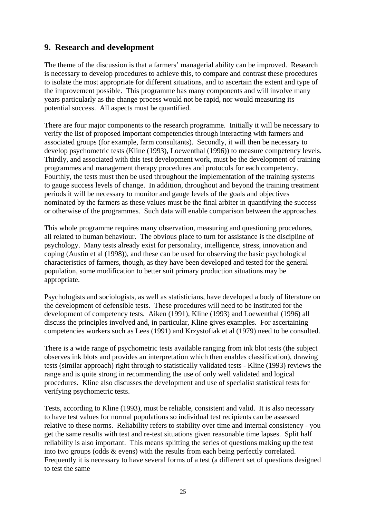## **9. Research and development**

The theme of the discussion is that a farmers' managerial ability can be improved. Research is necessary to develop procedures to achieve this, to compare and contrast these procedures to isolate the most appropriate for different situations, and to ascertain the extent and type of the improvement possible. This programme has many components and will involve many years particularly as the change process would not be rapid, nor would measuring its potential success. All aspects must be quantified.

There are four major components to the research programme. Initially it will be necessary to verify the list of proposed important competencies through interacting with farmers and associated groups (for example, farm consultants). Secondly, it will then be necessary to develop psychometric tests (Kline (1993), Loewenthal (1996)) to measure competency levels. Thirdly, and associated with this test development work, must be the development of training programmes and management therapy procedures and protocols for each competency. Fourthly, the tests must then be used throughout the implementation of the training systems to gauge success levels of change. In addition, throughout and beyond the training treatment periods it will be necessary to monitor and gauge levels of the goals and objectives nominated by the farmers as these values must be the final arbiter in quantifying the success or otherwise of the programmes. Such data will enable comparison between the approaches.

This whole programme requires many observation, measuring and questioning procedures, all related to human behaviour. The obvious place to turn for assistance is the discipline of psychology. Many tests already exist for personality, intelligence, stress, innovation and coping (Austin et al (1998)), and these can be used for observing the basic psychological characteristics of farmers, though, as they have been developed and tested for the general population, some modification to better suit primary production situations may be appropriate.

Psychologists and sociologists, as well as statisticians, have developed a body of literature on the development of defensible tests. These procedures will need to be instituted for the development of competency tests. Aiken (1991), Kline (1993) and Loewenthal (1996) all discuss the principles involved and, in particular, Kline gives examples. For ascertaining competencies workers such as Lees (1991) and Krzystofiak et al (1979) need to be consulted.

There is a wide range of psychometric tests available ranging from ink blot tests (the subject observes ink blots and provides an interpretation which then enables classification), drawing tests (similar approach) right through to statistically validated tests - Kline (1993) reviews the range and is quite strong in recommending the use of only well validated and logical procedures. Kline also discusses the development and use of specialist statistical tests for verifying psychometric tests.

Tests, according to Kline (1993), must be reliable, consistent and valid. It is also necessary to have test values for normal populations so individual test recipients can be assessed relative to these norms. Reliability refers to stability over time and internal consistency - you get the same results with test and re-test situations given reasonable time lapses. Split half reliability is also important. This means splitting the series of questions making up the test into two groups (odds & evens) with the results from each being perfectly correlated. Frequently it is necessary to have several forms of a test (a different set of questions designed to test the same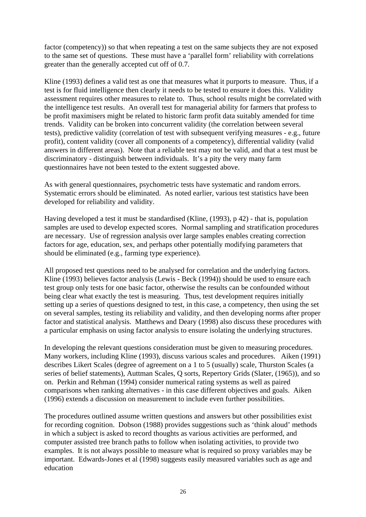factor (competency)) so that when repeating a test on the same subjects they are not exposed to the same set of questions. These must have a 'parallel form' reliability with correlations greater than the generally accepted cut off of 0.7.

Kline (1993) defines a valid test as one that measures what it purports to measure. Thus, if a test is for fluid intelligence then clearly it needs to be tested to ensure it does this. Validity assessment requires other measures to relate to. Thus, school results might be correlated with the intelligence test results. An overall test for managerial ability for farmers that profess to be profit maximisers might be related to historic farm profit data suitably amended for time trends. Validity can be broken into concurrent validity (the correlation between several tests), predictive validity (correlation of test with subsequent verifying measures - e.g., future profit), content validity (cover all components of a competency), differential validity (valid answers in different areas). Note that a reliable test may not be valid, and that a test must be discriminatory - distinguish between individuals. It's a pity the very many farm questionnaires have not been tested to the extent suggested above.

As with general questionnaires, psychometric tests have systematic and random errors. Systematic errors should be eliminated. As noted earlier, various test statistics have been developed for reliability and validity.

Having developed a test it must be standardised (Kline, (1993), p 42) - that is, population samples are used to develop expected scores. Normal sampling and stratification procedures are necessary. Use of regression analysis over large samples enables creating correction factors for age, education, sex, and perhaps other potentially modifying parameters that should be eliminated (e.g., farming type experience).

All proposed test questions need to be analysed for correlation and the underlying factors. Kline (1993) believes factor analysis (Lewis - Beck (1994)) should be used to ensure each test group only tests for one basic factor, otherwise the results can be confounded without being clear what exactly the test is measuring. Thus, test development requires initially setting up a series of questions designed to test, in this case, a competency, then using the set on several samples, testing its reliability and validity, and then developing norms after proper factor and statistical analysis. Matthews and Deary (1998) also discuss these procedures with a particular emphasis on using factor analysis to ensure isolating the underlying structures.

In developing the relevant questions consideration must be given to measuring procedures. Many workers, including Kline (1993), discuss various scales and procedures. Aiken (1991) describes Likert Scales (degree of agreement on a 1 to 5 (usually) scale, Thurston Scales (a series of belief statements), Auttman Scales, Q sorts, Repertory Grids (Slater, (1965)), and so on. Perkin and Rehman (1994) consider numerical rating systems as well as paired comparisons when ranking alternatives - in this case different objectives and goals. Aiken (1996) extends a discussion on measurement to include even further possibilities.

The procedures outlined assume written questions and answers but other possibilities exist for recording cognition. Dobson (1988) provides suggestions such as 'think aloud' methods in which a subject is asked to record thoughts as various activities are performed, and computer assisted tree branch paths to follow when isolating activities, to provide two examples. It is not always possible to measure what is required so proxy variables may be important. Edwards-Jones et al (1998) suggests easily measured variables such as age and education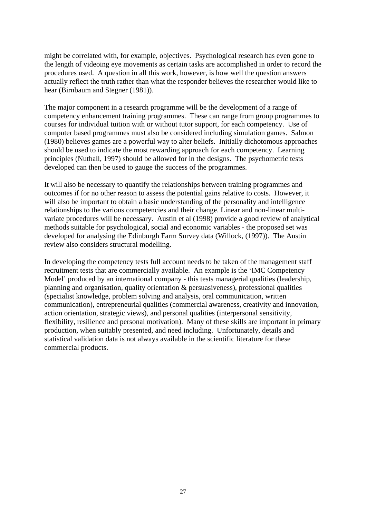might be correlated with, for example, objectives. Psychological research has even gone to the length of videoing eye movements as certain tasks are accomplished in order to record the procedures used. A question in all this work, however, is how well the question answers actually reflect the truth rather than what the responder believes the researcher would like to hear (Birnbaum and Stegner (1981)).

The major component in a research programme will be the development of a range of competency enhancement training programmes. These can range from group programmes to courses for individual tuition with or without tutor support, for each competency. Use of computer based programmes must also be considered including simulation games. Salmon (1980) believes games are a powerful way to alter beliefs. Initially dichotomous approaches should be used to indicate the most rewarding approach for each competency. Learning principles (Nuthall, 1997) should be allowed for in the designs. The psychometric tests developed can then be used to gauge the success of the programmes.

It will also be necessary to quantify the relationships between training programmes and outcomes if for no other reason to assess the potential gains relative to costs. However, it will also be important to obtain a basic understanding of the personality and intelligence relationships to the various competencies and their change. Linear and non-linear multivariate procedures will be necessary. Austin et al (1998) provide a good review of analytical methods suitable for psychological, social and economic variables - the proposed set was developed for analysing the Edinburgh Farm Survey data (Willock, (1997)). The Austin review also considers structural modelling.

In developing the competency tests full account needs to be taken of the management staff recruitment tests that are commercially available. An example is the 'IMC Competency Model' produced by an international company - this tests managerial qualities (leadership, planning and organisation, quality orientation & persuasiveness), professional qualities (specialist knowledge, problem solving and analysis, oral communication, written communication), entrepreneurial qualities (commercial awareness, creativity and innovation, action orientation, strategic views), and personal qualities (interpersonal sensitivity, flexibility, resilience and personal motivation). Many of these skills are important in primary production, when suitably presented, and need including. Unfortunately, details and statistical validation data is not always available in the scientific literature for these commercial products.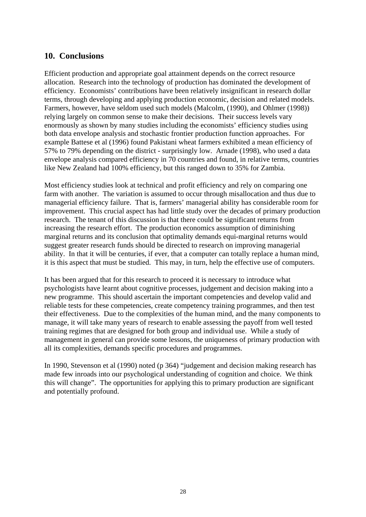#### **10. Conclusions**

Efficient production and appropriate goal attainment depends on the correct resource allocation. Research into the technology of production has dominated the development of efficiency. Economists' contributions have been relatively insignificant in research dollar terms, through developing and applying production economic, decision and related models. Farmers, however, have seldom used such models (Malcolm, (1990), and Ohlmer (1998)) relying largely on common sense to make their decisions. Their success levels vary enormously as shown by many studies including the economists' efficiency studies using both data envelope analysis and stochastic frontier production function approaches. For example Battese et al (1996) found Pakistani wheat farmers exhibited a mean efficiency of 57% to 79% depending on the district - surprisingly low. Arnade (1998), who used a data envelope analysis compared efficiency in 70 countries and found, in relative terms, countries like New Zealand had 100% efficiency, but this ranged down to 35% for Zambia.

Most efficiency studies look at technical and profit efficiency and rely on comparing one farm with another. The variation is assumed to occur through misallocation and thus due to managerial efficiency failure. That is, farmers' managerial ability has considerable room for improvement. This crucial aspect has had little study over the decades of primary production research. The tenant of this discussion is that there could be significant returns from increasing the research effort. The production economics assumption of diminishing marginal returns and its conclusion that optimality demands equi-marginal returns would suggest greater research funds should be directed to research on improving managerial ability. In that it will be centuries, if ever, that a computer can totally replace a human mind, it is this aspect that must be studied. This may, in turn, help the effective use of computers.

It has been argued that for this research to proceed it is necessary to introduce what psychologists have learnt about cognitive processes, judgement and decision making into a new programme. This should ascertain the important competencies and develop valid and reliable tests for these competencies, create competency training programmes, and then test their effectiveness. Due to the complexities of the human mind, and the many components to manage, it will take many years of research to enable assessing the payoff from well tested training regimes that are designed for both group and individual use. While a study of management in general can provide some lessons, the uniqueness of primary production with all its complexities, demands specific procedures and programmes.

In 1990, Stevenson et al (1990) noted (p 364) "judgement and decision making research has made few inroads into our psychological understanding of cognition and choice. We think this will change". The opportunities for applying this to primary production are significant and potentially profound.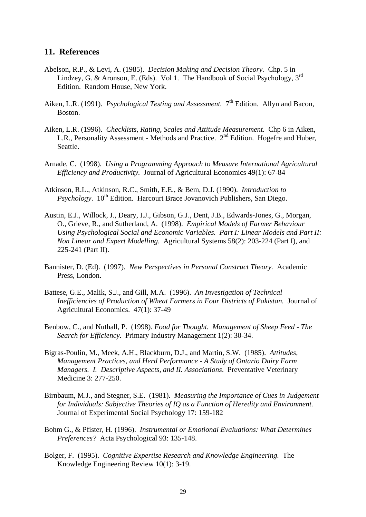#### **11. References**

- Abelson, R.P., & Levi, A. (1985). *Decision Making and Decision Theory.* Chp. 5 in Lindzey, G. & Aronson, E. (Eds). Vol 1. The Handbook of Social Psychology, 3rd Edition. Random House, New York.
- Aiken, L.R. (1991). *Psychological Testing and Assessment.* 7<sup>th</sup> Edition. Allyn and Bacon, Boston.
- Aiken, L.R. (1996). *Checklists, Rating, Scales and Attitude Measurement.* Chp 6 in Aiken, L.R., Personality Assessment - Methods and Practice. 2<sup>nd</sup> Edition. Hogefre and Huber, Seattle.
- Arnade, C. (1998). *Using a Programming Approach to Measure International Agricultural Efficiency and Productivity.* Journal of Agricultural Economics 49(1): 67-84
- Atkinson, R.L., Atkinson, R.C., Smith, E.E., & Bem, D.J. (1990). *Introduction to Psychology.* 10<sup>th</sup> Edition. Harcourt Brace Jovanovich Publishers, San Diego.
- Austin, E.J., Willock, J., Deary, I.J., Gibson, G.J., Dent, J.B., Edwards-Jones, G., Morgan, O., Grieve, R., and Sutherland, A. (1998). *Empirical Models of Farmer Behaviour Using Psychological Social and Economic Variables. Part I: Linear Models and Part II: Non Linear and Expert Modelling.* Agricultural Systems 58(2): 203-224 (Part I), and 225-241 (Part II).
- Bannister, D. (Ed). (1997). *New Perspectives in Personal Construct Theory.* Academic Press, London.
- Battese, G.E., Malik, S.J., and Gill, M.A. (1996). *An Investigation of Technical Inefficiencies of Production of Wheat Farmers in Four Districts of Pakistan.* Journal of Agricultural Economics. 47(1): 37-49
- Benbow, C., and Nuthall, P. (1998). *Food for Thought. Management of Sheep Feed The Search for Efficiency.* Primary Industry Management 1(2): 30-34.
- Bigras-Poulin, M., Meek, A.H., Blackburn, D.J., and Martin, S.W. (1985). *Attitudes, Management Practices, and Herd Performance - A Study of Ontario Dairy Farm Managers. I. Descriptive Aspects, and II. Associations*. Preventative Veterinary Medicine 3: 277-250.
- Birnbaum, M.J., and Stegner, S.E. (1981). *Measuring the Importance of Cues in Judgement for Individuals: Subjective Theories of IQ as a Function of Heredity and Environment.*  Journal of Experimental Social Psychology 17: 159-182
- Bohm G., & Pfister, H. (1996). *Instrumental or Emotional Evaluations: What Determines Preferences?* Acta Psychological 93: 135-148.
- Bolger, F. (1995). *Cognitive Expertise Research and Knowledge Engineering.* The Knowledge Engineering Review 10(1): 3-19.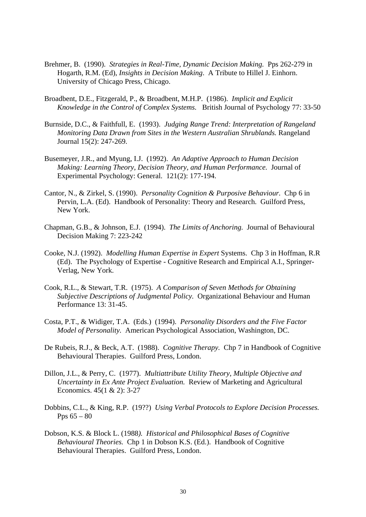- Brehmer, B. (1990). *Strategies in Real-Time, Dynamic Decision Making.* Pps 262-279 in Hogarth, R.M. (Ed), *Insights in Decision Making*. A Tribute to Hillel J. Einhorn. University of Chicago Press, Chicago.
- Broadbent, D.E., Fitzgerald, P., & Broadbent, M.H.P. (1986). *Implicit and Explicit Knowledge in the Control of Complex Systems.* British Journal of Psychology 77: 33-50
- Burnside, D.C., & Faithfull, E. (1993). *Judging Range Trend: Interpretation of Rangeland Monitoring Data Drawn from Sites in the Western Australian Shrublands.* Rangeland Journal 15(2): 247-269.
- Busemeyer, J.R., and Myung, I.J. (1992). *An Adaptive Approach to Human Decision Making: Learning Theory, Decision Theory, and Human Performance.* Journal of Experimental Psychology: General. 121(2): 177-194.
- Cantor, N., & Zirkel, S. (1990). *Personality Cognition & Purposive Behaviour.* Chp 6 in Pervin, L.A. (Ed). Handbook of Personality: Theory and Research. Guilford Press, New York.
- Chapman, G.B., & Johnson, E.J. (1994). *The Limits of Anchoring.* Journal of Behavioural Decision Making 7: 223-242
- Cooke, N.J. (1992). *Modelling Human Expertise in Expert* Systems. Chp 3 in Hoffman, R.R (Ed). The Psychology of Expertise - Cognitive Research and Empirical A.I., Springer-Verlag, New York.
- Cook, R.L., & Stewart, T.R. (1975). *A Comparison of Seven Methods for Obtaining Subjective Descriptions of Judgmental Policy.* Organizational Behaviour and Human Performance 13: 31-45.
- Costa, P.T., & Widiger, T.A. (Eds.) (1994). *Personality Disorders and the Five Factor Model of Personality.* American Psychological Association, Washington, DC.
- De Rubeis, R.J., & Beck, A.T. (1988). *Cognitive Therapy.* Chp 7 in Handbook of Cognitive Behavioural Therapies. Guilford Press, London.
- Dillon, J.L., & Perry, C. (1977). *Multiattribute Utility Theory, Multiple Objective and Uncertainty in Ex Ante Project Evaluation.* Review of Marketing and Agricultural Economics. 45(1 & 2): 3-27
- Dobbins, C.L., & King, R.P. (19??) *Using Verbal Protocols to Explore Decision Processes.*  Pps  $65 - 80$
- Dobson, K.S. & Block L. (1988*). Historical and Philosophical Bases of Cognitive Behavioural Theories.* Chp 1 in Dobson K.S. (Ed.). Handbook of Cognitive Behavioural Therapies. Guilford Press, London.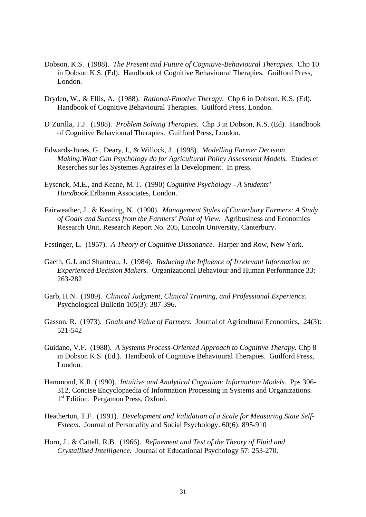- Dobson, K.S. (1988). *The Present and Future of Cognitive-Behavioural Therapies.* Chp 10 in Dobson K.S. (Ed). Handbook of Cognitive Behavioural Therapies. Guilford Press, London.
- Dryden, W., & Ellis, A. (1988). *Rational-Emotive Therapy.* Chp 6 in Dobson, K.S. (Ed). Handbook of Cognitive Behavioural Therapies. Guilford Press, London.
- D'Zurilla, T.J. (1988). *Problem Solving Therapies.* Chp 3 in Dobson, K.S. (Ed). Handbook of Cognitive Behavioural Therapies. Guilford Press, London.
- Edwards-Jones, G., Deary, I., & Willock, J. (1998). *Modelling Farmer Decision Making.What Can Psychology do for Agricultural Policy Assessment Models.* Etudes et Reserches sur les Systemes Agraires et la Development. In press.
- Eysenck, M.E., and Keane, M.T. (1990) *Cognitive Psychology A Students' Handbook.*Erlbanm Associates, London.
- Fairweather, J., & Keating, N. (1990). *Management Styles of Canterbury Farmers: A Study of Goals and Success from the Farmers' Point of View.* Agribusiness and Economics Research Unit, Research Report No. 205, Lincoln University, Canterbury.
- Festinger, L. (1957). *A Theory of Cognitive Dissonance.* Harper and Row, New York.
- Gaeth, G.J. and Shanteau, J. (1984). *Reducing the Influence of Irrelevant Information on Experienced Decision Makers.* Organizational Behaviour and Human Performance 33: 263-282
- Garb, H.N. (1989). *Clinical Judgment, Clinical Training, and Professional Experience.*  Psychological Bulletin 105(3): 387-396.
- Gasson, R. (1973). *Goals and Value of Farmers.* Journal of Agricultural Economics, 24(3): 521-542
- Guidano, V.F. (1988). *A Systems Process-Oriented Approach to Cognitive Therapy.* Chp 8 in Dobson K.S. (Ed.). Handbook of Cognitive Behavioural Therapies. Guilford Press, London.
- Hammond, K.R. (1990). *Intuitive and Analytical Cognition: Information Models.* Pps 306- 312, Concise Encyclopaedia of Information Processing in Systems and Organizations. 1<sup>st</sup> Edition. Pergamon Press, Oxford.
- Heatherton, T.F. (1991). *Development and Validation of a Scale for Measuring State Self-Esteem.* Journal of Personality and Social Psychology. 60(6): 895-910
- Horn, J., & Cattell, R.B. (1966). *Refinement and Test of the Theory of Fluid and Crystallised Intelligence.* Journal of Educational Psychology 57: 253-270.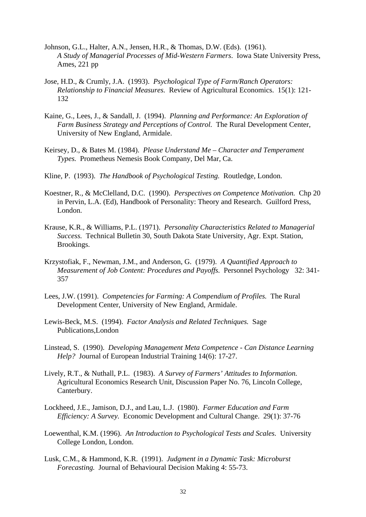- Johnson, G.L., Halter, A.N., Jensen, H.R., & Thomas, D.W. (Eds). (1961). *A Study of Managerial Processes of Mid-Western Farmers*. Iowa State University Press, Ames, 221 pp
- Jose, H.D., & Crumly, J.A. (1993). *Psychological Type of Farm/Ranch Operators: Relationship to Financial Measures.* Review of Agricultural Economics. 15(1): 121- 132
- Kaine, G., Lees, J., & Sandall, J. (1994). *Planning and Performance: An Exploration of Farm Business Strategy and Perceptions of Control.* The Rural Development Center, University of New England, Armidale.
- Keirsey, D., & Bates M. (1984). *Please Understand Me Character and Temperament Types.* Prometheus Nemesis Book Company, Del Mar, Ca.
- Kline, P. (1993). *The Handbook of Psychological Testing.* Routledge, London.
- Koestner, R., & McClelland, D.C. (1990). *Perspectives on Competence Motivation.* Chp 20 in Pervin, L.A. (Ed), Handbook of Personality: Theory and Research. Guilford Press, London.
- Krause, K.R., & Williams, P.L. (1971). *Personality Characteristics Related to Managerial Success.* Technical Bulletin 30, South Dakota State University, Agr. Expt. Station, Brookings.
- Krzystofiak, F., Newman, J.M., and Anderson, G. (1979). *A Quantified Approach to Measurement of Job Content: Procedures and Payoffs.* Personnel Psychology 32: 341- 357
- Lees, J.W. (1991). *Competencies for Farming: A Compendium of Profiles.* The Rural Development Center, University of New England, Armidale.
- Lewis-Beck, M.S. (1994). *Factor Analysis and Related Techniques.* Sage Publications,London
- Linstead, S. (1990). *Developing Management Meta Competence Can Distance Learning Help?* Journal of European Industrial Training 14(6): 17-27.
- Lively, R.T., & Nuthall, P.L. (1983). *A Survey of Farmers' Attitudes to Information.*  Agricultural Economics Research Unit, Discussion Paper No. 76, Lincoln College, Canterbury.
- Lockheed, J.E., Jamison, D.J., and Lau, L.J. (1980). *Farmer Education and Farm Efficiency: A Survey.* Economic Development and Cultural Change. 29(1): 37-76
- Loewenthal, K.M. (1996). *An Introduction to Psychological Tests and Scales.* University College London, London.
- Lusk, C.M., & Hammond, K.R. (1991). *Judgment in a Dynamic Task: Microburst Forecasting.* Journal of Behavioural Decision Making 4: 55-73.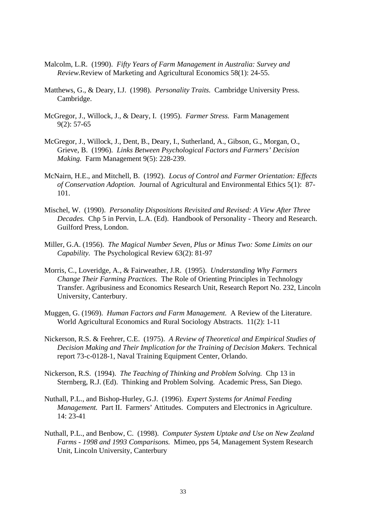- Malcolm, L.R. (1990). *Fifty Years of Farm Management in Australia: Survey and Review.*Review of Marketing and Agricultural Economics 58(1): 24-55.
- Matthews, G., & Deary, I.J. (1998). *Personality Traits.* Cambridge University Press. Cambridge.
- McGregor, J., Willock, J., & Deary, I. (1995). *Farmer Stress.* Farm Management 9(2): 57-65
- McGregor, J., Willock, J., Dent, B., Deary, I., Sutherland, A., Gibson, G., Morgan, O., Grieve, B. (1996). *Links Between Psychological Factors and Farmers' Decision Making.* Farm Management 9(5): 228-239.
- McNairn, H.E., and Mitchell, B. (1992). *Locus of Control and Farmer Orientation: Effects of Conservation Adoption.* Journal of Agricultural and Environmental Ethics 5(1): 87- 101.
- Mischel, W. (1990). *Personality Dispositions Revisited and Revised: A View After Three Decades.* Chp 5 in Pervin, L.A. (Ed). Handbook of Personality - Theory and Research. Guilford Press, London.
- Miller, G.A. (1956). *The Magical Number Seven, Plus or Minus Two: Some Limits on our Capability.* The Psychological Review 63(2): 81-97
- Morris, C., Loveridge, A., & Fairweather, J.R. (1995). *Understanding Why Farmers Change Their Farming Practices.* The Role of Orienting Principles in Technology Transfer. Agribusiness and Economics Research Unit, Research Report No. 232, Lincoln University, Canterbury.
- Muggen, G. (1969). *Human Factors and Farm Management.* A Review of the Literature. World Agricultural Economics and Rural Sociology Abstracts. 11(2): 1-11
- Nickerson, R.S. & Feehrer, C.E. (1975). *A Review of Theoretical and Empirical Studies of Decision Making and Their Implication for the Training of Decision Makers.* Technical report 73-c-0128-1, Naval Training Equipment Center, Orlando.
- Nickerson, R.S. (1994). *The Teaching of Thinking and Problem Solving.* Chp 13 in Sternberg, R.J. (Ed). Thinking and Problem Solving. Academic Press, San Diego.
- Nuthall, P.L., and Bishop-Hurley, G.J. (1996). *Expert Systems for Animal Feeding Management.* Part II. Farmers' Attitudes. Computers and Electronics in Agriculture. 14: 23-41
- Nuthall, P.L., and Benbow, C. (1998). *Computer System Uptake and Use on New Zealand Farms - 1998 and 1993 Comparisons.* Mimeo, pps 54, Management System Research Unit, Lincoln University, Canterbury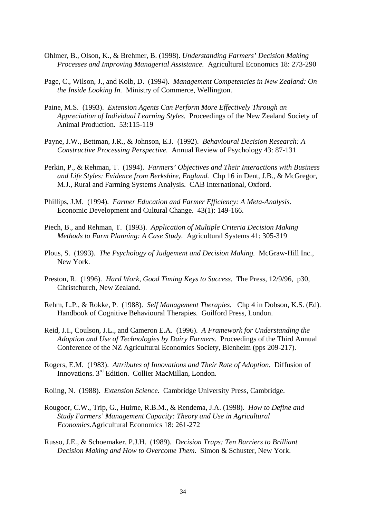- Ohlmer, B., Olson, K., & Brehmer, B. (1998). *Understanding Farmers' Decision Making Processes and Improving Managerial Assistance.* Agricultural Economics 18: 273-290
- Page, C., Wilson, J., and Kolb, D. (1994). *Management Competencies in New Zealand: On the Inside Looking In.* Ministry of Commerce, Wellington.
- Paine, M.S. (1993). *Extension Agents Can Perform More Effectively Through an Appreciation of Individual Learning Styles.* Proceedings of the New Zealand Society of Animal Production. 53:115-119
- Payne, J.W., Bettman, J.R., & Johnson, E.J. (1992). *Behavioural Decision Research: A Constructive Processing Perspective.* Annual Review of Psychology 43: 87-131
- Perkin, P., & Rehman, T. (1994). *Farmers' Objectives and Their Interactions with Business and Life Styles: Evidence from Berkshire, England.* Chp 16 in Dent, J.B., & McGregor, M.J., Rural and Farming Systems Analysis. CAB International, Oxford.
- Phillips, J.M. (1994). *Farmer Education and Farmer Efficiency: A Meta-Analysis.*  Economic Development and Cultural Change. 43(1): 149-166.
- Piech, B., and Rehman, T. (1993). *Application of Multiple Criteria Decision Making Methods to Farm Planning: A Case Study.* Agricultural Systems 41: 305-319
- Plous, S. (1993). *The Psychology of Judgement and Decision Making.* McGraw-Hill Inc., New York.
- Preston, R. (1996). *Hard Work, Good Timing Keys to Success.* The Press, 12/9/96, p30, Christchurch, New Zealand.
- Rehm, L.P., & Rokke, P. (1988). *Self Management Therapies.* Chp 4 in Dobson, K.S. (Ed). Handbook of Cognitive Behavioural Therapies. Guilford Press, London.
- Reid, J.I., Coulson, J.L., and Cameron E.A. (1996). *A Framework for Understanding the Adoption and Use of Technologies by Dairy Farmers.* Proceedings of the Third Annual Conference of the NZ Agricultural Economics Society, Blenheim (pps 209-217).
- Rogers, E.M. (1983). *Attributes of Innovations and Their Rate of Adoption.* Diffusion of Innovations. 3<sup>rd</sup> Edition. Collier MacMillan, London.
- Roling, N. (1988). *Extension Science.* Cambridge University Press, Cambridge.
- Rougoor, C.W., Trip, G., Huirne, R.B.M., & Rendema, J.A. (1998). *How to Define and Study Farmers' Management Capacity: Theory and Use in Agricultural Economics.*Agricultural Economics 18: 261-272
- Russo, J.E., & Schoemaker, P.J.H. (1989). *Decision Traps: Ten Barriers to Brilliant Decision Making and How to Overcome Them.* Simon & Schuster, New York.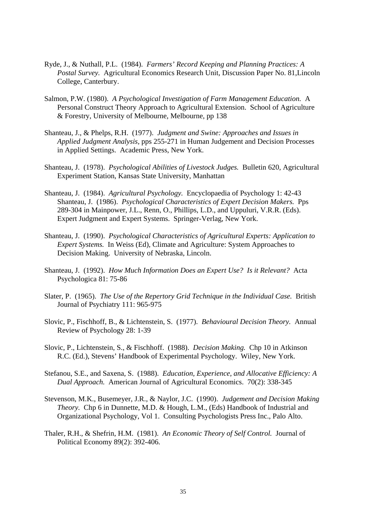- Ryde, J., & Nuthall, P.L. (1984). *Farmers' Record Keeping and Planning Practices: A Postal Survey.* Agricultural Economics Research Unit, Discussion Paper No. 81,Lincoln College, Canterbury.
- Salmon, P.W. (1980). *A Psychological Investigation of Farm Management Education.* A Personal Construct Theory Approach to Agricultural Extension. School of Agriculture & Forestry, University of Melbourne, Melbourne, pp 138
- Shanteau, J., & Phelps, R.H. (1977). *Judgment and Swine: Approaches and Issues in Applied Judgment Analysis,* pps 255-271 in Human Judgement and Decision Processes in Applied Settings. Academic Press, New York.
- Shanteau, J. (1978). *Psychological Abilities of Livestock Judges.* Bulletin 620, Agricultural Experiment Station, Kansas State University, Manhattan
- Shanteau, J. (1984). *Agricultural Psychology.* Encyclopaedia of Psychology 1: 42-43 Shanteau, J. (1986). *Psychological Characteristics of Expert Decision Makers.* Pps 289-304 in Mainpower, J.L., Renn, O., Phillips, L.D., and Uppuluri, V.R.R. (Eds). Expert Judgment and Expert Systems. Springer-Verlag, New York.
- Shanteau, J. (1990). *Psychological Characteristics of Agricultural Experts: Application to Expert Systems.* In Weiss (Ed), Climate and Agriculture: System Approaches to Decision Making. University of Nebraska, Lincoln.
- Shanteau, J. (1992). *How Much Information Does an Expert Use? Is it Relevant?* Acta Psychologica 81: 75-86
- Slater, P. (1965). *The Use of the Repertory Grid Technique in the Individual Case.* British Journal of Psychiatry 111: 965-975
- Slovic, P., Fischhoff, B., & Lichtenstein, S. (1977). *Behavioural Decision Theory.* Annual Review of Psychology 28: 1-39
- Slovic, P., Lichtenstein, S., & Fischhoff. (1988). *Decision Making.* Chp 10 in Atkinson R.C. (Ed.), Stevens' Handbook of Experimental Psychology. Wiley, New York.
- Stefanou, S.E., and Saxena, S. (1988). *Education, Experience, and Allocative Efficiency: A Dual Approach.* American Journal of Agricultural Economics. 70(2): 338-345
- Stevenson, M.K., Busemeyer, J.R., & Naylor, J.C. (1990). *Judgement and Decision Making Theory.* Chp 6 in Dunnette, M.D. & Hough, L.M., (Eds) Handbook of Industrial and Organizational Psychology, Vol 1. Consulting Psychologists Press Inc., Palo Alto.
- Thaler, R.H., & Shefrin, H.M. (1981). *An Economic Theory of Self Control.* Journal of Political Economy 89(2): 392-406.